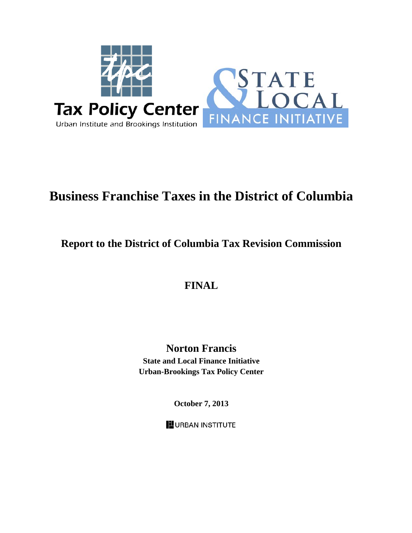

# **Business Franchise Taxes in the District of Columbia**

# **Report to the District of Columbia Tax Revision Commission**

**FINAL** 

**Norton Francis State and Local Finance Initiative Urban-Brookings Tax Policy Center** 

**October 7, 2013**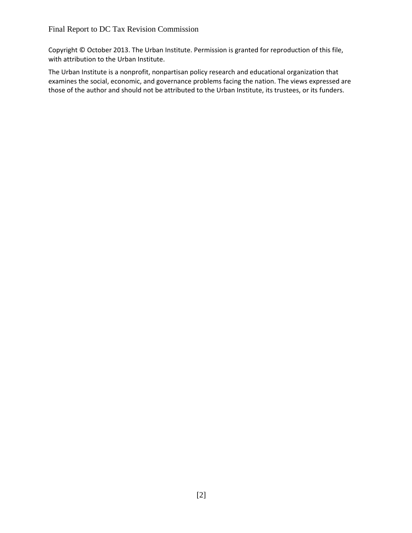Copyright © October 2013. The Urban Institute. Permission is granted for reproduction of this file, with attribution to the Urban Institute.

The Urban Institute is a nonprofit, nonpartisan policy research and educational organization that examines the social, economic, and governance problems facing the nation. The views expressed are those of the author and should not be attributed to the Urban Institute, its trustees, or its funders.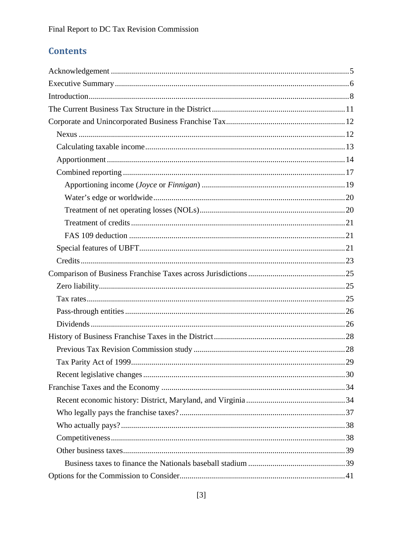# **Contents**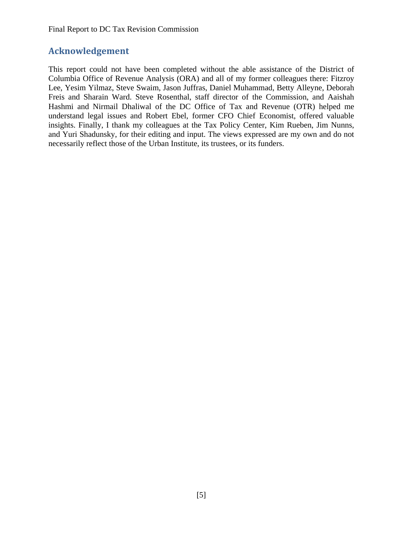# **Acknowledgement**

This report could not have been completed without the able assistance of the District of Columbia Office of Revenue Analysis (ORA) and all of my former colleagues there: Fitzroy Lee, Yesim Yilmaz, Steve Swaim, Jason Juffras, Daniel Muhammad, Betty Alleyne, Deborah Freis and Sharain Ward. Steve Rosenthal, staff director of the Commission, and Aaishah Hashmi and Nirmail Dhaliwal of the DC Office of Tax and Revenue (OTR) helped me understand legal issues and Robert Ebel, former CFO Chief Economist, offered valuable insights. Finally, I thank my colleagues at the Tax Policy Center, Kim Rueben, Jim Nunns, and Yuri Shadunsky, for their editing and input. The views expressed are my own and do not necessarily reflect those of the Urban Institute, its trustees, or its funders.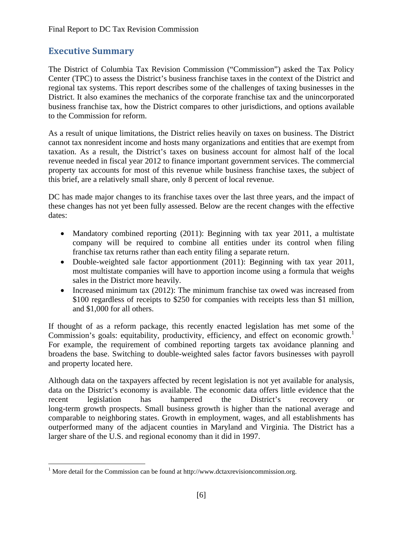# **Executive Summary**

The District of Columbia Tax Revision Commission ("Commission") asked the Tax Policy Center (TPC) to assess the District's business franchise taxes in the context of the District and regional tax systems. This report describes some of the challenges of taxing businesses in the District. It also examines the mechanics of the corporate franchise tax and the unincorporated business franchise tax, how the District compares to other jurisdictions, and options available to the Commission for reform.

As a result of unique limitations, the District relies heavily on taxes on business. The District cannot tax nonresident income and hosts many organizations and entities that are exempt from taxation. As a result, the District's taxes on business account for almost half of the local revenue needed in fiscal year 2012 to finance important government services. The commercial property tax accounts for most of this revenue while business franchise taxes, the subject of this brief, are a relatively small share, only 8 percent of local revenue.

DC has made major changes to its franchise taxes over the last three years, and the impact of these changes has not yet been fully assessed. Below are the recent changes with the effective dates:

- Mandatory combined reporting (2011): Beginning with tax year 2011, a multistate company will be required to combine all entities under its control when filing franchise tax returns rather than each entity filing a separate return.
- Double-weighted sale factor apportionment (2011): Beginning with tax year 2011, most multistate companies will have to apportion income using a formula that weighs sales in the District more heavily.
- Increased minimum tax (2012): The minimum franchise tax owed was increased from \$100 regardless of receipts to \$250 for companies with receipts less than \$1 million, and \$1,000 for all others.

If thought of as a reform package, this recently enacted legislation has met some of the Commission's goals: equitability, productivity, efficiency, and effect on economic growth.<sup>1</sup> For example, the requirement of combined reporting targets tax avoidance planning and broadens the base. Switching to double-weighted sales factor favors businesses with payroll and property located here.

Although data on the taxpayers affected by recent legislation is not yet available for analysis, data on the District's economy is available. The economic data offers little evidence that the recent legislation has hampered the District's recovery or long-term growth prospects. Small business growth is higher than the national average and comparable to neighboring states. Growth in employment, wages, and all establishments has outperformed many of the adjacent counties in Maryland and Virginia. The District has a larger share of the U.S. and regional economy than it did in 1997.

<sup>&</sup>lt;sup>1</sup> More detail for the Commission can be found at http://www.dctaxrevisioncommission.org.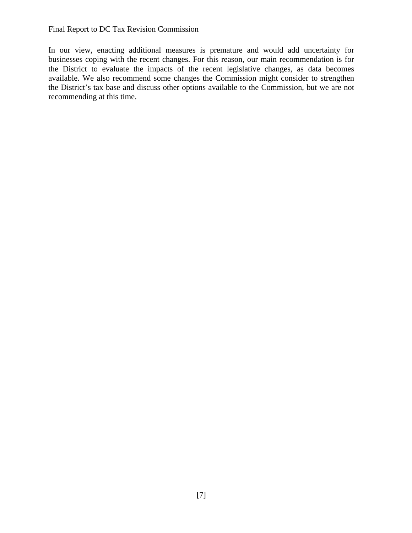In our view, enacting additional measures is premature and would add uncertainty for businesses coping with the recent changes. For this reason, our main recommendation is for the District to evaluate the impacts of the recent legislative changes, as data becomes available. We also recommend some changes the Commission might consider to strengthen the District's tax base and discuss other options available to the Commission, but we are not recommending at this time.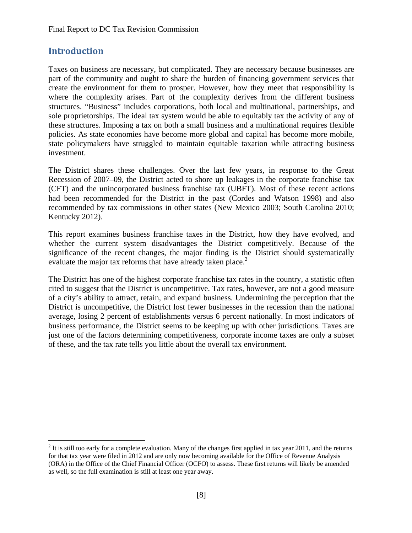## **Introduction**

Taxes on business are necessary, but complicated. They are necessary because businesses are part of the community and ought to share the burden of financing government services that create the environment for them to prosper. However, how they meet that responsibility is where the complexity arises. Part of the complexity derives from the different business structures. "Business" includes corporations, both local and multinational, partnerships, and sole proprietorships. The ideal tax system would be able to equitably tax the activity of any of these structures. Imposing a tax on both a small business and a multinational requires flexible policies. As state economies have become more global and capital has become more mobile, state policymakers have struggled to maintain equitable taxation while attracting business investment.

The District shares these challenges. Over the last few years, in response to the Great Recession of 2007–09, the District acted to shore up leakages in the corporate franchise tax (CFT) and the unincorporated business franchise tax (UBFT). Most of these recent actions had been recommended for the District in the past (Cordes and Watson 1998) and also recommended by tax commissions in other states (New Mexico 2003; South Carolina 2010; Kentucky 2012).

This report examines business franchise taxes in the District, how they have evolved, and whether the current system disadvantages the District competitively. Because of the significance of the recent changes, the major finding is the District should systematically evaluate the major tax reforms that have already taken place.<sup>2</sup>

The District has one of the highest corporate franchise tax rates in the country, a statistic often cited to suggest that the District is uncompetitive. Tax rates, however, are not a good measure of a city's ability to attract, retain, and expand business. Undermining the perception that the District is uncompetitive, the District lost fewer businesses in the recession than the national average, losing 2 percent of establishments versus 6 percent nationally. In most indicators of business performance, the District seems to be keeping up with other jurisdictions. Taxes are just one of the factors determining competitiveness, corporate income taxes are only a subset of these, and the tax rate tells you little about the overall tax environment.

 $\overline{a}$  $2$  It is still too early for a complete evaluation. Many of the changes first applied in tax year 2011, and the returns for that tax year were filed in 2012 and are only now becoming available for the Office of Revenue Analysis (ORA) in the Office of the Chief Financial Officer (OCFO) to assess. These first returns will likely be amended as well, so the full examination is still at least one year away.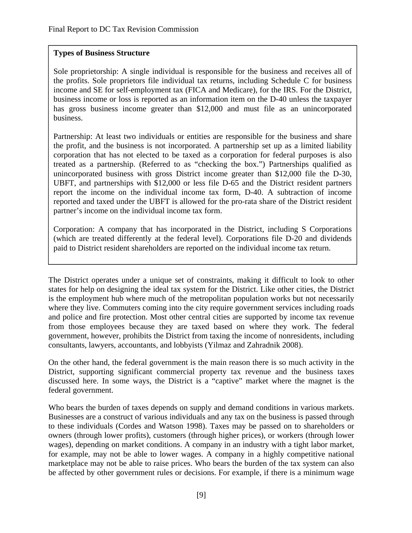## **Types of Business Structure**

Sole proprietorship: A single individual is responsible for the business and receives all of the profits. Sole proprietors file individual tax returns, including Schedule C for business income and SE for self-employment tax (FICA and Medicare), for the IRS. For the District, business income or loss is reported as an information item on the D-40 unless the taxpayer has gross business income greater than \$12,000 and must file as an unincorporated business.

Partnership: At least two individuals or entities are responsible for the business and share the profit, and the business is not incorporated. A partnership set up as a limited liability corporation that has not elected to be taxed as a corporation for federal purposes is also treated as a partnership. (Referred to as "checking the box.") Partnerships qualified as unincorporated business with gross District income greater than \$12,000 file the D-30, UBFT, and partnerships with \$12,000 or less file D-65 and the District resident partners report the income on the individual income tax form, D-40. A subtraction of income reported and taxed under the UBFT is allowed for the pro-rata share of the District resident partner's income on the individual income tax form.

Corporation: A company that has incorporated in the District, including S Corporations (which are treated differently at the federal level). Corporations file D-20 and dividends paid to District resident shareholders are reported on the individual income tax return.

The District operates under a unique set of constraints, making it difficult to look to other states for help on designing the ideal tax system for the District. Like other cities, the District is the employment hub where much of the metropolitan population works but not necessarily where they live. Commuters coming into the city require government services including roads and police and fire protection. Most other central cities are supported by income tax revenue from those employees because they are taxed based on where they work. The federal government, however, prohibits the District from taxing the income of nonresidents, including consultants, lawyers, accountants, and lobbyists (Yilmaz and Zahradnik 2008).

On the other hand, the federal government is the main reason there is so much activity in the District, supporting significant commercial property tax revenue and the business taxes discussed here. In some ways, the District is a "captive" market where the magnet is the federal government.

Who bears the burden of taxes depends on supply and demand conditions in various markets. Businesses are a construct of various individuals and any tax on the business is passed through to these individuals (Cordes and Watson 1998). Taxes may be passed on to shareholders or owners (through lower profits), customers (through higher prices), or workers (through lower wages), depending on market conditions. A company in an industry with a tight labor market, for example, may not be able to lower wages. A company in a highly competitive national marketplace may not be able to raise prices. Who bears the burden of the tax system can also be affected by other government rules or decisions. For example, if there is a minimum wage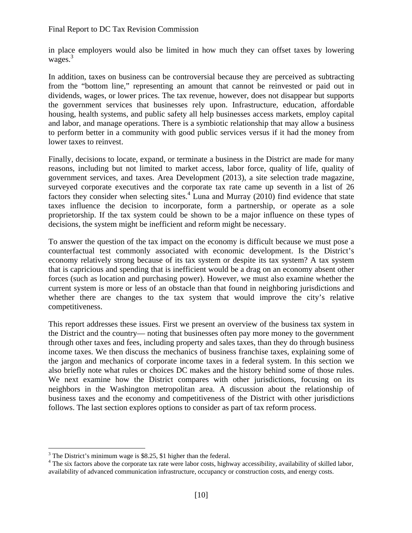in place employers would also be limited in how much they can offset taxes by lowering wages. $3$ 

In addition, taxes on business can be controversial because they are perceived as subtracting from the "bottom line," representing an amount that cannot be reinvested or paid out in dividends, wages, or lower prices. The tax revenue, however, does not disappear but supports the government services that businesses rely upon. Infrastructure, education, affordable housing, health systems, and public safety all help businesses access markets, employ capital and labor, and manage operations. There is a symbiotic relationship that may allow a business to perform better in a community with good public services versus if it had the money from lower taxes to reinvest.

Finally, decisions to locate, expand, or terminate a business in the District are made for many reasons, including but not limited to market access, labor force, quality of life, quality of government services, and taxes. Area Development (2013), a site selection trade magazine, surveyed corporate executives and the corporate tax rate came up seventh in a list of 26 factors they consider when selecting sites. $4$  Luna and Murray (2010) find evidence that state taxes influence the decision to incorporate, form a partnership, or operate as a sole proprietorship. If the tax system could be shown to be a major influence on these types of decisions, the system might be inefficient and reform might be necessary.

To answer the question of the tax impact on the economy is difficult because we must pose a counterfactual test commonly associated with economic development. Is the District's economy relatively strong because of its tax system or despite its tax system? A tax system that is capricious and spending that is inefficient would be a drag on an economy absent other forces (such as location and purchasing power). However, we must also examine whether the current system is more or less of an obstacle than that found in neighboring jurisdictions and whether there are changes to the tax system that would improve the city's relative competitiveness.

This report addresses these issues. First we present an overview of the business tax system in the District and the country— noting that businesses often pay more money to the government through other taxes and fees, including property and sales taxes, than they do through business income taxes. We then discuss the mechanics of business franchise taxes, explaining some of the jargon and mechanics of corporate income taxes in a federal system. In this section we also briefly note what rules or choices DC makes and the history behind some of those rules. We next examine how the District compares with other jurisdictions, focusing on its neighbors in the Washington metropolitan area. A discussion about the relationship of business taxes and the economy and competitiveness of the District with other jurisdictions follows. The last section explores options to consider as part of tax reform process.

 $\overline{a}$ 

 $3$  The District's minimum wage is \$8.25, \$1 higher than the federal.

<sup>&</sup>lt;sup>4</sup> The six factors above the corporate tax rate were labor costs, highway accessibility, availability of skilled labor, availability of advanced communication infrastructure, occupancy or construction costs, and energy costs.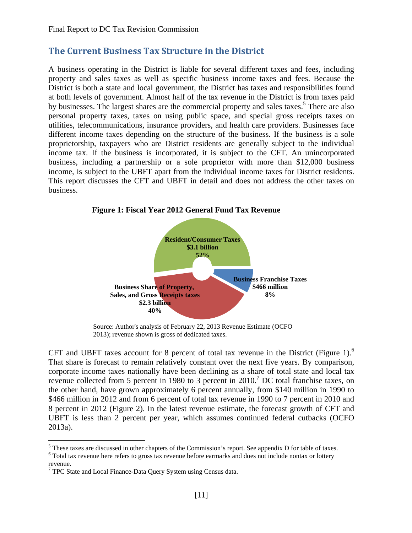## **The Current Business Tax Structure in the District**

A business operating in the District is liable for several different taxes and fees, including property and sales taxes as well as specific business income taxes and fees. Because the District is both a state and local government, the District has taxes and responsibilities found at both levels of government. Almost half of the tax revenue in the District is from taxes paid by businesses. The largest shares are the commercial property and sales taxes.<sup>5</sup> There are also personal property taxes, taxes on using public space, and special gross receipts taxes on utilities, telecommunications, insurance providers, and health care providers. Businesses face different income taxes depending on the structure of the business. If the business is a sole proprietorship, taxpayers who are District residents are generally subject to the individual income tax. If the business is incorporated, it is subject to the CFT. An unincorporated business, including a partnership or a sole proprietor with more than \$12,000 business income, is subject to the UBFT apart from the individual income taxes for District residents. This report discusses the CFT and UBFT in detail and does not address the other taxes on business.

**Figure 1: Fiscal Year 2012 General Fund Tax Revenue**



Source: Author's analysis of February 22, 2013 Revenue Estimate (OCFO 2013); revenue shown is gross of dedicated taxes.

CFT and UBFT taxes account for 8 percent of total tax revenue in the District (Figure 1).<sup>6</sup> That share is forecast to remain relatively constant over the next five years. By comparison, corporate income taxes nationally have been declining as a share of total state and local tax revenue collected from 5 percent in 1980 to 3 percent in 2010.<sup>7</sup> DC total franchise taxes, on the other hand, have grown approximately 6 percent annually, from \$140 million in 1990 to \$466 million in 2012 and from 6 percent of total tax revenue in 1990 to 7 percent in 2010 and 8 percent in 2012 (Figure 2). In the latest revenue estimate, the forecast growth of CFT and UBFT is less than 2 percent per year, which assumes continued federal cutbacks (OCFO 2013a).

<sup>&</sup>lt;sup>5</sup>These taxes are discussed in other chapters of the Commission's report. See appendix D for table of taxes.<br><sup>6</sup> Total tax rayonus hare rafare to gross tax rayonus before correctly and does not include nortex or lettery.

Total tax revenue here refers to gross tax revenue before earmarks and does not include nontax or lottery revenue.

 $7$  TPC State and Local Finance-Data Query System using Census data.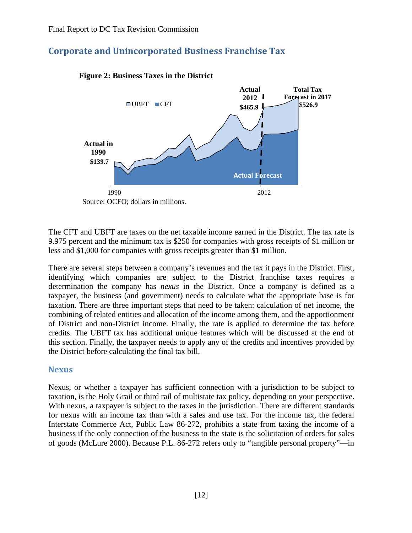# **Corporate and Unincorporated Business Franchise Tax**



#### **Figure 2: Business Taxes in the District**

Source: OCFO; dollars in millions.

The CFT and UBFT are taxes on the net taxable income earned in the District. The tax rate is 9.975 percent and the minimum tax is \$250 for companies with gross receipts of \$1 million or less and \$1,000 for companies with gross receipts greater than \$1 million.

There are several steps between a company's revenues and the tax it pays in the District. First, identifying which companies are subject to the District franchise taxes requires a determination the company has *nexus* in the District. Once a company is defined as a taxpayer, the business (and government) needs to calculate what the appropriate base is for taxation. There are three important steps that need to be taken: calculation of net income, the combining of related entities and allocation of the income among them, and the apportionment of District and non-District income. Finally, the rate is applied to determine the tax before credits. The UBFT tax has additional unique features which will be discussed at the end of this section. Finally, the taxpayer needs to apply any of the credits and incentives provided by the District before calculating the final tax bill.

#### **Nexus**

Nexus, or whether a taxpayer has sufficient connection with a jurisdiction to be subject to taxation, is the Holy Grail or third rail of multistate tax policy, depending on your perspective. With nexus, a taxpayer is subject to the taxes in the jurisdiction. There are different standards for nexus with an income tax than with a sales and use tax. For the income tax, the federal Interstate Commerce Act, Public Law 86-272, prohibits a state from taxing the income of a business if the only connection of the business to the state is the solicitation of orders for sales of goods (McLure 2000). Because P.L. 86-272 refers only to "tangible personal property"—in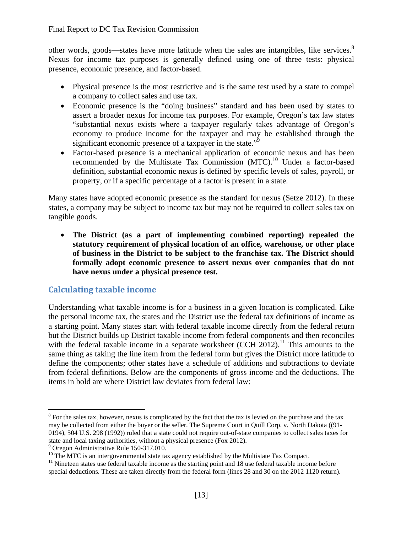other words, goods—states have more latitude when the sales are intangibles, like services.<sup>8</sup> Nexus for income tax purposes is generally defined using one of three tests: physical presence, economic presence, and factor-based.

- Physical presence is the most restrictive and is the same test used by a state to compel a company to collect sales and use tax.
- Economic presence is the "doing business" standard and has been used by states to assert a broader nexus for income tax purposes. For example, Oregon's tax law states "substantial nexus exists where a taxpayer regularly takes advantage of Oregon's economy to produce income for the taxpayer and may be established through the significant economic presence of a taxpayer in the state."<sup>9</sup>
- Factor-based presence is a mechanical application of economic nexus and has been recommended by the Multistate Tax Commission (MTC).<sup>10</sup> Under a factor-based definition, substantial economic nexus is defined by specific levels of sales, payroll, or property, or if a specific percentage of a factor is present in a state.

Many states have adopted economic presence as the standard for nexus (Setze 2012). In these states, a company may be subject to income tax but may not be required to collect sales tax on tangible goods.

 **The District (as a part of implementing combined reporting) repealed the statutory requirement of physical location of an office, warehouse, or other place of business in the District to be subject to the franchise tax. The District should formally adopt economic presence to assert nexus over companies that do not have nexus under a physical presence test.** 

## **Calculating taxable income**

Understanding what taxable income is for a business in a given location is complicated. Like the personal income tax, the states and the District use the federal tax definitions of income as a starting point. Many states start with federal taxable income directly from the federal return but the District builds up District taxable income from federal components and then reconciles with the federal taxable income in a separate worksheet (CCH  $2012$ ).<sup>11</sup> This amounts to the same thing as taking the line item from the federal form but gives the District more latitude to define the components; other states have a schedule of additions and subtractions to deviate from federal definitions. Below are the components of gross income and the deductions. The items in bold are where District law deviates from federal law:

 $\overline{a}$ 

 $8$  For the sales tax, however, nexus is complicated by the fact that the tax is levied on the purchase and the tax may be collected from either the buyer or the seller. The Supreme Court in Quill Corp. v. North Dakota ((91- 0194), 504 U.S. 298 (1992)) ruled that a state could not require out-of-state companies to collect sales taxes for state and local taxing authorities, without a physical presence (Fox 2012).

<sup>9</sup> Oregon Administrative Rule 150-317.010.

 $10$  The MTC is an intergovernmental state tax agency established by the Multistate Tax Compact.

<sup>&</sup>lt;sup>11</sup> Nineteen states use federal taxable income as the starting point and 18 use federal taxable income before special deductions. These are taken directly from the federal form (lines 28 and 30 on the 2012 1120 return).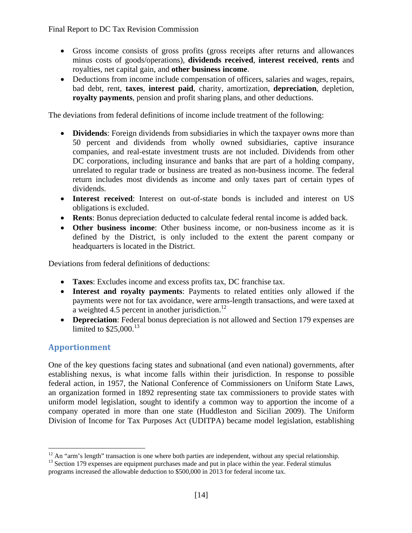- Gross income consists of gross profits (gross receipts after returns and allowances minus costs of goods/operations), **dividends received**, **interest received**, **rents** and royalties, net capital gain, and **other business income**.
- Deductions from income include compensation of officers, salaries and wages, repairs, bad debt, rent, **taxes**, **interest paid**, charity, amortization, **depreciation**, depletion, **royalty payments**, pension and profit sharing plans, and other deductions.

The deviations from federal definitions of income include treatment of the following:

- **Dividends**: Foreign dividends from subsidiaries in which the taxpayer owns more than 50 percent and dividends from wholly owned subsidiaries, captive insurance companies, and real-estate investment trusts are not included. Dividends from other DC corporations, including insurance and banks that are part of a holding company, unrelated to regular trade or business are treated as non-business income. The federal return includes most dividends as income and only taxes part of certain types of dividends.
- **Interest received**: Interest on out-of-state bonds is included and interest on US obligations is excluded.
- **Rents**: Bonus depreciation deducted to calculate federal rental income is added back.
- **Other business income**: Other business income, or non-business income as it is defined by the District, is only included to the extent the parent company or headquarters is located in the District.

Deviations from federal definitions of deductions:

- **Taxes**: Excludes income and excess profits tax, DC franchise tax.
- **Interest and royalty payments**: Payments to related entities only allowed if the payments were not for tax avoidance, were arms-length transactions, and were taxed at a weighted 4.5 percent in another jurisdiction. $^{12}$
- **Depreciation**: Federal bonus depreciation is not allowed and Section 179 expenses are limited to  $$25,000$ <sup>13</sup>

# Apportionment

 $\overline{a}$ 

One of the key questions facing states and subnational (and even national) governments, after establishing nexus, is what income falls within their jurisdiction. In response to possible federal action, in 1957, the National Conference of Commissioners on Uniform State Laws, an organization formed in 1892 representing state tax commissioners to provide states with uniform model legislation, sought to identify a common way to apportion the income of a company operated in more than one state (Huddleston and Sicilian 2009). The Uniform Division of Income for Tax Purposes Act (UDITPA) became model legislation, establishing

 $12$  An "arm's length" transaction is one where both parties are independent, without any special relationship.

<sup>&</sup>lt;sup>13</sup> Section 179 expenses are equipment purchases made and put in place within the year. Federal stimulus programs increased the allowable deduction to \$500,000 in 2013 for federal income tax.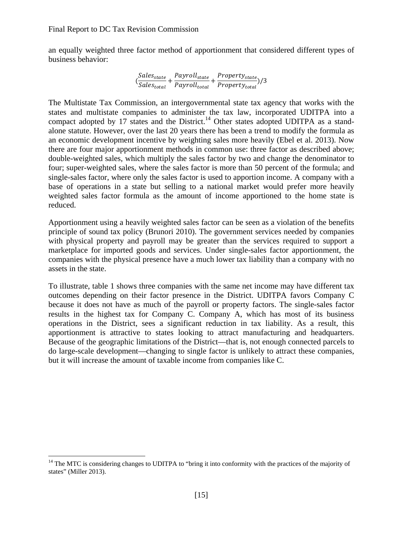an equally weighted three factor method of apportionment that considered different types of business behavior:

$$
(\frac{Sales_{state}}{Sales_{total}} + \frac{Payroll_{state}}{Payroll_{total}} + \frac{Property_{state}}{Property_{total}})/3
$$

The Multistate Tax Commission, an intergovernmental state tax agency that works with the states and multistate companies to administer the tax law, incorporated UDITPA into a compact adopted by 17 states and the District.<sup>14</sup> Other states adopted UDITPA as a standalone statute. However, over the last 20 years there has been a trend to modify the formula as an economic development incentive by weighting sales more heavily (Ebel et al. 2013). Now there are four major apportionment methods in common use: three factor as described above; double-weighted sales, which multiply the sales factor by two and change the denominator to four; super-weighted sales, where the sales factor is more than 50 percent of the formula; and single-sales factor, where only the sales factor is used to apportion income. A company with a base of operations in a state but selling to a national market would prefer more heavily weighted sales factor formula as the amount of income apportioned to the home state is reduced.

Apportionment using a heavily weighted sales factor can be seen as a violation of the benefits principle of sound tax policy (Brunori 2010). The government services needed by companies with physical property and payroll may be greater than the services required to support a marketplace for imported goods and services. Under single-sales factor apportionment, the companies with the physical presence have a much lower tax liability than a company with no assets in the state.

To illustrate, table 1 shows three companies with the same net income may have different tax outcomes depending on their factor presence in the District. UDITPA favors Company C because it does not have as much of the payroll or property factors. The single-sales factor results in the highest tax for Company C. Company A, which has most of its business operations in the District, sees a significant reduction in tax liability. As a result, this apportionment is attractive to states looking to attract manufacturing and headquarters. Because of the geographic limitations of the District—that is, not enough connected parcels to do large-scale development—changing to single factor is unlikely to attract these companies, but it will increase the amount of taxable income from companies like C.

 $\overline{a}$ 

<sup>&</sup>lt;sup>14</sup> The MTC is considering changes to UDITPA to "bring it into conformity with the practices of the majority of states" (Miller 2013).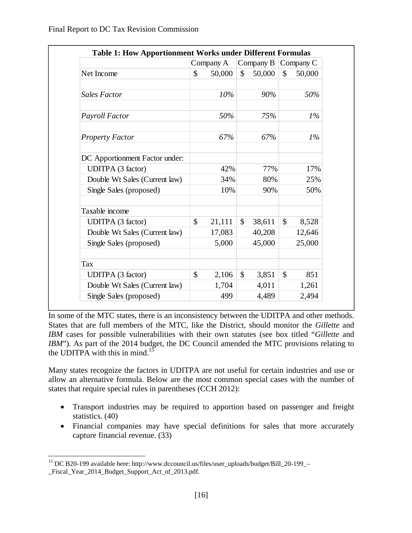|                                |               | Company A |               | Company B |               | Company C |
|--------------------------------|---------------|-----------|---------------|-----------|---------------|-----------|
| Net Income                     | $\mathcal{S}$ | 50,000    | $\mathcal{S}$ | 50,000    | \$            | 50,000    |
| <b>Sales Factor</b>            |               | 10%       |               | 90%       |               | 50%       |
| Payroll Factor                 |               | 50%       |               | 75%       |               | $1\%$     |
| <b>Property Factor</b>         |               | 67%       |               | 67%       |               | $1\%$     |
| DC Apportionment Factor under: |               |           |               |           |               |           |
| <b>UDITPA</b> (3 factor)       |               | 42%       |               | 77%       |               | 17%       |
| Double Wt Sales (Current law)  |               | 34%       |               | 80%       |               | 25%       |
| Single Sales (proposed)        |               | 10%       |               | 90%       |               | 50%       |
| Taxable income                 |               |           |               |           |               |           |
| <b>UDITPA</b> (3 factor)       | \$            | 21,111    | \$            | 38,611    | $\mathcal{S}$ | 8,528     |
| Double Wt Sales (Current law)  |               | 17,083    |               | 40,208    |               | 12,646    |
| Single Sales (proposed)        |               | 5,000     |               | 45,000    |               | 25,000    |
| Tax                            |               |           |               |           |               |           |
| <b>UDITPA</b> (3 factor)       | \$            | 2,106     | \$            | 3,851     | \$            | 851       |
| Double Wt Sales (Current law)  |               | 1,704     |               | 4,011     |               | 1,261     |
| Single Sales (proposed)        |               | 499       |               | 4,489     |               | 2,494     |

In some of the MTC states, there is an inconsistency between the UDITPA and other methods. States that are full members of the MTC, like the District, should monitor the *Gillette* and *IBM* cases for possible vulnerabilities with their own statutes (see box titled "*Gillette* and *IBM*"). As part of the 2014 budget, the DC Council amended the MTC provisions relating to the UDITPA with this in mind.<sup>15</sup>

Many states recognize the factors in UDITPA are not useful for certain industries and use or allow an alternative formula. Below are the most common special cases with the number of states that require special rules in parentheses (CCH 2012):

- Transport industries may be required to apportion based on passenger and freight statistics. (40)
- Financial companies may have special definitions for sales that more accurately capture financial revenue. (33)

 $\overline{a}$ <sup>15</sup> DC B20-199 available here: http://www.dccouncil.us/files/user\_uploads/budget/Bill\_20-199 $-$ 

\_Fiscal\_Year\_2014\_Budget\_Support\_Act\_of\_2013.pdf.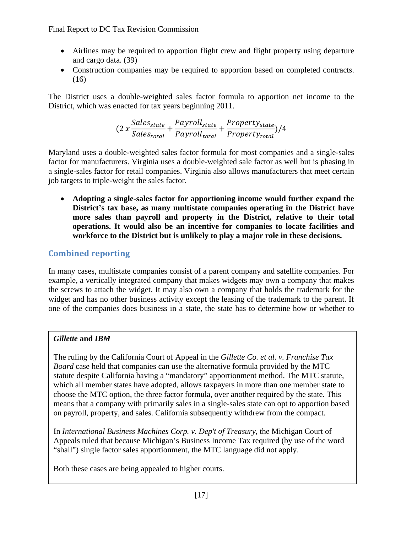- Airlines may be required to apportion flight crew and flight property using departure and cargo data. (39)
- Construction companies may be required to apportion based on completed contracts. (16)

The District uses a double-weighted sales factor formula to apportion net income to the District, which was enacted for tax years beginning 2011.

$$
(2\ x \frac{Sales_{state}}{Sales_{total}} + \frac{Payroll_{state}}{Payroll_{total}} + \frac{Property_{state}}{Property_{total}})/4
$$

Maryland uses a double-weighted sales factor formula for most companies and a single-sales factor for manufacturers. Virginia uses a double-weighted sale factor as well but is phasing in a single-sales factor for retail companies. Virginia also allows manufacturers that meet certain job targets to triple-weight the sales factor.

 **Adopting a single-sales factor for apportioning income would further expand the District's tax base, as many multistate companies operating in the District have more sales than payroll and property in the District, relative to their total operations. It would also be an incentive for companies to locate facilities and workforce to the District but is unlikely to play a major role in these decisions.** 

# **Combined reporting**

In many cases, multistate companies consist of a parent company and satellite companies. For example, a vertically integrated company that makes widgets may own a company that makes the screws to attach the widget. It may also own a company that holds the trademark for the widget and has no other business activity except the leasing of the trademark to the parent. If one of the companies does business in a state, the state has to determine how or whether to

# *Gillette* **and** *IBM*

The ruling by the California Court of Appeal in the *Gillette Co. et al. v. Franchise Tax Board* case held that companies can use the alternative formula provided by the MTC statute despite California having a "mandatory" apportionment method. The MTC statute, which all member states have adopted, allows taxpayers in more than one member state to choose the MTC option, the three factor formula, over another required by the state. This means that a company with primarily sales in a single-sales state can opt to apportion based on payroll, property, and sales. California subsequently withdrew from the compact.

In *International Business Machines Corp. v. Dep't of Treasury*, the Michigan Court of Appeals ruled that because Michigan's Business Income Tax required (by use of the word "shall") single factor sales apportionment, the MTC language did not apply.

Both these cases are being appealed to higher courts.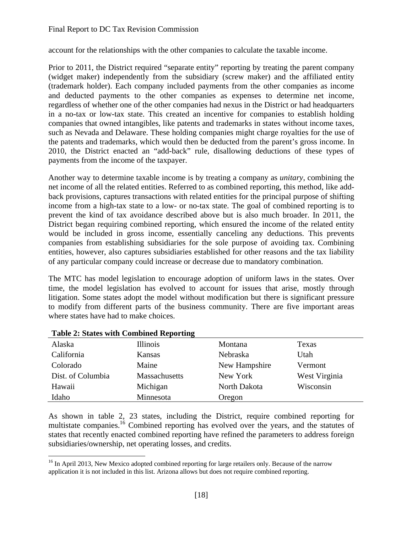account for the relationships with the other companies to calculate the taxable income.

Prior to 2011, the District required "separate entity" reporting by treating the parent company (widget maker) independently from the subsidiary (screw maker) and the affiliated entity (trademark holder). Each company included payments from the other companies as income and deducted payments to the other companies as expenses to determine net income, regardless of whether one of the other companies had nexus in the District or had headquarters in a no-tax or low-tax state. This created an incentive for companies to establish holding companies that owned intangibles, like patents and trademarks in states without income taxes, such as Nevada and Delaware. These holding companies might charge royalties for the use of the patents and trademarks, which would then be deducted from the parent's gross income. In 2010, the District enacted an "add-back" rule, disallowing deductions of these types of payments from the income of the taxpayer.

Another way to determine taxable income is by treating a company as *unitary*, combining the net income of all the related entities. Referred to as combined reporting, this method, like addback provisions, captures transactions with related entities for the principal purpose of shifting income from a high-tax state to a low- or no-tax state. The goal of combined reporting is to prevent the kind of tax avoidance described above but is also much broader. In 2011, the District began requiring combined reporting, which ensured the income of the related entity would be included in gross income, essentially canceling any deductions. This prevents companies from establishing subsidiaries for the sole purpose of avoiding tax. Combining entities, however, also captures subsidiaries established for other reasons and the tax liability of any particular company could increase or decrease due to mandatory combination.

The MTC has model legislation to encourage adoption of uniform laws in the states. Over time, the model legislation has evolved to account for issues that arise, mostly through litigation. Some states adopt the model without modification but there is significant pressure to modify from different parts of the business community. There are five important areas where states have had to make choices.

| Alaska            | <b>Illinois</b> | Montana       | Texas         |
|-------------------|-----------------|---------------|---------------|
| California        | Kansas          | Nebraska      | Utah          |
| Colorado          | Maine           | New Hampshire | Vermont       |
| Dist. of Columbia | Massachusetts   | New York      | West Virginia |
| Hawaii            | Michigan        | North Dakota  | Wisconsin     |
| Idaho             | Minnesota       | Oregon        |               |
|                   |                 |               |               |

| <b>Table 2: States with Combined Reporting</b> |
|------------------------------------------------|
|------------------------------------------------|

 $\overline{a}$ 

As shown in table 2, 23 states, including the District, require combined reporting for multistate companies.<sup>16</sup> Combined reporting has evolved over the years, and the statutes of states that recently enacted combined reporting have refined the parameters to address foreign subsidiaries/ownership, net operating losses, and credits.

<sup>&</sup>lt;sup>16</sup> In April 2013, New Mexico adopted combined reporting for large retailers only. Because of the narrow application it is not included in this list. Arizona allows but does not require combined reporting.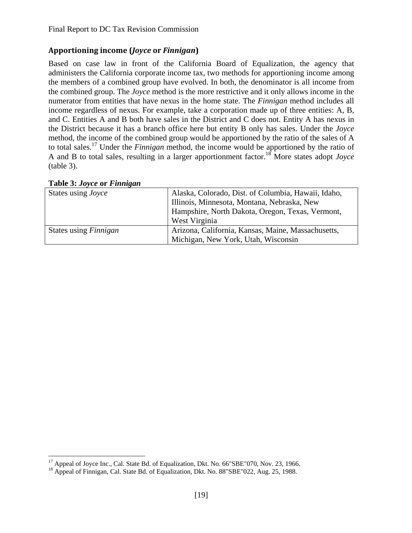## **Apportioning income (***Joyce* **or** *Finnigan***)**

Based on case law in front of the California Board of Equalization, the agency that administers the California corporate income tax, two methods for apportioning income among the members of a combined group have evolved. In both, the denominator is all income from the combined group. The *Joyce* method is the more restrictive and it only allows income in the numerator from entities that have nexus in the home state. The *Finnigan* method includes all income regardless of nexus. For example, take a corporation made up of three entities: A, B, and C. Entities A and B both have sales in the District and C does not. Entity A has nexus in the District because it has a branch office here but entity B only has sales. Under the *Joyce*  method, the income of the combined group would be apportioned by the ratio of the sales of A to total sales.17 Under the *Finnigan* method, the income would be apportioned by the ratio of A and B to total sales, resulting in a larger apportionment factor.18 More states adopt *Joyce* (table 3).

| States using <i>Joyce</i>    | Alaska, Colorado, Dist. of Columbia, Hawaii, Idaho, |
|------------------------------|-----------------------------------------------------|
|                              | Illinois, Minnesota, Montana, Nebraska, New         |
|                              | Hampshire, North Dakota, Oregon, Texas, Vermont,    |
|                              | West Virginia                                       |
| States using <i>Finnigan</i> | Arizona, California, Kansas, Maine, Massachusetts,  |
|                              | Michigan, New York, Utah, Wisconsin                 |

#### **Table 3:** *Joyce* **or** *Finnigan*

 $\overline{a}$ <sup>17</sup> Appeal of Joyce Inc., Cal. State Bd. of Equalization, Dkt. No. 66"SBE"070, Nov. 23, 1966.

<sup>&</sup>lt;sup>18</sup> Appeal of Finnigan, Cal. State Bd. of Equalization, Dkt. No. 88"SBE"022, Aug. 25, 1988.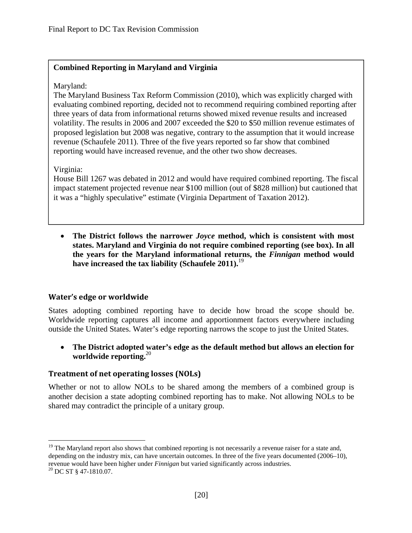#### **Combined Reporting in Maryland and Virginia**

#### Maryland:

The Maryland Business Tax Reform Commission (2010), which was explicitly charged with evaluating combined reporting, decided not to recommend requiring combined reporting after three years of data from informational returns showed mixed revenue results and increased volatility. The results in 2006 and 2007 exceeded the \$20 to \$50 million revenue estimates of proposed legislation but 2008 was negative, contrary to the assumption that it would increase revenue (Schaufele 2011). Three of the five years reported so far show that combined reporting would have increased revenue, and the other two show decreases.

#### Virginia:

House Bill 1267 was debated in 2012 and would have required combined reporting. The fiscal impact statement projected revenue near \$100 million (out of \$828 million) but cautioned that it was a "highly speculative" estimate (Virginia Department of Taxation 2012).

 **The District follows the narrower** *Joyce* **method, which is consistent with most states. Maryland and Virginia do not require combined reporting (see box). In all the years for the Maryland informational returns, the** *Finnigan* **method would have increased the tax liability (Schaufele 2011).**<sup>19</sup>

## **Water's edge or worldwide**

States adopting combined reporting have to decide how broad the scope should be. Worldwide reporting captures all income and apportionment factors everywhere including outside the United States. Water's edge reporting narrows the scope to just the United States.

 **The District adopted water's edge as the default method but allows an election for worldwide reporting.**<sup>20</sup>

## **Treatment of net operating losses (NOLs)**

Whether or not to allow NOLs to be shared among the members of a combined group is another decision a state adopting combined reporting has to make. Not allowing NOLs to be shared may contradict the principle of a unitary group.

<sup>1</sup> <sup>19</sup> The Maryland report also shows that combined reporting is not necessarily a revenue raiser for a state and, depending on the industry mix, can have uncertain outcomes. In three of the five years documented (2006–10), revenue would have been higher under *Finnigan* but varied significantly across industries. 20 DC ST § 47-1810.07.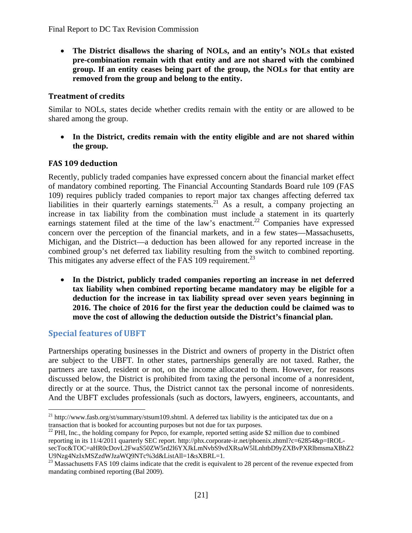**The District disallows the sharing of NOLs, and an entity's NOLs that existed pre-combination remain with that entity and are not shared with the combined group. If an entity ceases being part of the group, the NOLs for that entity are removed from the group and belong to the entity.** 

## **Treatment of credits**

Similar to NOLs, states decide whether credits remain with the entity or are allowed to be shared among the group.

 **In the District, credits remain with the entity eligible and are not shared within the group.** 

# **FAS 109 deduction**

Recently, publicly traded companies have expressed concern about the financial market effect of mandatory combined reporting. The Financial Accounting Standards Board rule 109 (FAS 109) requires publicly traded companies to report major tax changes affecting deferred tax liabilities in their quarterly earnings statements.<sup>21</sup> As a result, a company projecting an increase in tax liability from the combination must include a statement in its quarterly earnings statement filed at the time of the law's enactment.<sup>22</sup> Companies have expressed concern over the perception of the financial markets, and in a few states—Massachusetts, Michigan, and the District—a deduction has been allowed for any reported increase in the combined group's net deferred tax liability resulting from the switch to combined reporting. This mitigates any adverse effect of the FAS 109 requirement.<sup>23</sup>

 **In the District, publicly traded companies reporting an increase in net deferred tax liability when combined reporting became mandatory may be eligible for a deduction for the increase in tax liability spread over seven years beginning in 2016. The choice of 2016 for the first year the deduction could be claimed was to move the cost of allowing the deduction outside the District's financial plan.** 

# **Special features of UBFT**

Partnerships operating businesses in the District and owners of property in the District often are subject to the UBFT. In other states, partnerships generally are not taxed. Rather, the partners are taxed, resident or not, on the income allocated to them. However, for reasons discussed below, the District is prohibited from taxing the personal income of a nonresident, directly or at the source. Thus, the District cannot tax the personal income of nonresidents. And the UBFT excludes professionals (such as doctors, lawyers, engineers, accountants, and

reporting in its 11/4/2011 quarterly SEC report. http://phx.corporate-ir.net/phoenix.zhtml?c=62854&p=IROLsecToc&TOC=aHR0cDovL2FwaS50ZW5rd2l6YXJkLmNvbS9vdXRsaW5lLnhtbD9yZXBvPXRlbmsmaXBhZ2<br>U9Nzg4NzIxMSZzdWJzaWQ9NTc%3d&ListAll=1&sXBRL=1.

 $\overline{a}$ <sup>21</sup> http://www.fasb.org/st/summary/stsum109.shtml. A deferred tax liability is the anticipated tax due on a transaction that is booked for accounting purposes but not due for tax purposes.<br><sup>22</sup> PHI, Inc., the holding company for Pepco, for example, reported setting aside \$2 million due to combined

 $^{23}$  Massachusetts FAS 109 claims indicate that the credit is equivalent to 28 percent of the revenue expected from mandating combined reporting (Bal 2009).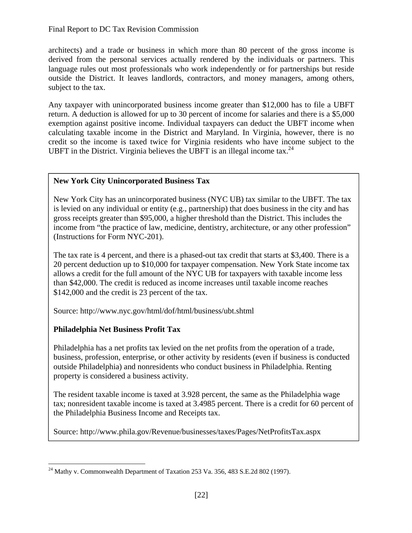architects) and a trade or business in which more than 80 percent of the gross income is derived from the personal services actually rendered by the individuals or partners. This language rules out most professionals who work independently or for partnerships but reside outside the District. It leaves landlords, contractors, and money managers, among others, subject to the tax.

Any taxpayer with unincorporated business income greater than \$12,000 has to file a UBFT return. A deduction is allowed for up to 30 percent of income for salaries and there is a \$5,000 exemption against positive income. Individual taxpayers can deduct the UBFT income when calculating taxable income in the District and Maryland. In Virginia, however, there is no credit so the income is taxed twice for Virginia residents who have income subject to the UBFT in the District. Virginia believes the UBFT is an illegal income tax.<sup>24</sup>

## **New York City Unincorporated Business Tax**

New York City has an unincorporated business (NYC UB) tax similar to the UBFT. The tax is levied on any individual or entity (e.g., partnership) that does business in the city and has gross receipts greater than \$95,000, a higher threshold than the District. This includes the income from "the practice of law, medicine, dentistry, architecture, or any other profession" (Instructions for Form NYC-201).

The tax rate is 4 percent, and there is a phased-out tax credit that starts at \$3,400. There is a 20 percent deduction up to \$10,000 for taxpayer compensation. New York State income tax allows a credit for the full amount of the NYC UB for taxpayers with taxable income less than \$42,000. The credit is reduced as income increases until taxable income reaches \$142,000 and the credit is 23 percent of the tax.

Source: http://www.nyc.gov/html/dof/html/business/ubt.shtml

## **Philadelphia Net Business Profit Tax**

Philadelphia has a net profits tax levied on the net profits from the operation of a trade, business, profession, enterprise, or other activity by residents (even if business is conducted outside Philadelphia) and nonresidents who conduct business in Philadelphia. Renting property is considered a business activity.

The resident taxable income is taxed at 3.928 percent, the same as the Philadelphia wage tax; nonresident taxable income is taxed at 3.4985 percent. There is a credit for 60 percent of the Philadelphia Business Income and Receipts tax.

Source: http://www.phila.gov/Revenue/businesses/taxes/Pages/NetProfitsTax.aspx

 $\overline{a}$  $24$  Mathy v. Commonwealth Department of Taxation 253 Va. 356, 483 S.E.2d 802 (1997).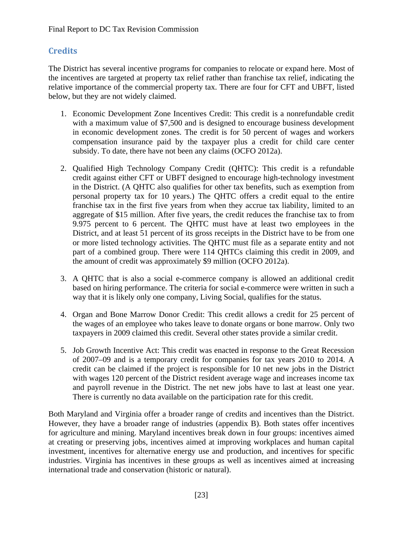## **Credits**

The District has several incentive programs for companies to relocate or expand here. Most of the incentives are targeted at property tax relief rather than franchise tax relief, indicating the relative importance of the commercial property tax. There are four for CFT and UBFT, listed below, but they are not widely claimed.

- 1. Economic Development Zone Incentives Credit: This credit is a nonrefundable credit with a maximum value of \$7,500 and is designed to encourage business development in economic development zones. The credit is for 50 percent of wages and workers compensation insurance paid by the taxpayer plus a credit for child care center subsidy. To date, there have not been any claims (OCFO 2012a).
- 2. Qualified High Technology Company Credit (QHTC): This credit is a refundable credit against either CFT or UBFT designed to encourage high-technology investment in the District. (A QHTC also qualifies for other tax benefits, such as exemption from personal property tax for 10 years.) The QHTC offers a credit equal to the entire franchise tax in the first five years from when they accrue tax liability, limited to an aggregate of \$15 million. After five years, the credit reduces the franchise tax to from 9.975 percent to 6 percent. The QHTC must have at least two employees in the District, and at least 51 percent of its gross receipts in the District have to be from one or more listed technology activities. The QHTC must file as a separate entity and not part of a combined group. There were 114 QHTCs claiming this credit in 2009, and the amount of credit was approximately \$9 million (OCFO 2012a).
- 3. A QHTC that is also a social e-commerce company is allowed an additional credit based on hiring performance. The criteria for social e-commerce were written in such a way that it is likely only one company, Living Social, qualifies for the status.
- 4. Organ and Bone Marrow Donor Credit: This credit allows a credit for 25 percent of the wages of an employee who takes leave to donate organs or bone marrow. Only two taxpayers in 2009 claimed this credit. Several other states provide a similar credit.
- 5. Job Growth Incentive Act: This credit was enacted in response to the Great Recession of 2007–09 and is a temporary credit for companies for tax years 2010 to 2014. A credit can be claimed if the project is responsible for 10 net new jobs in the District with wages 120 percent of the District resident average wage and increases income tax and payroll revenue in the District. The net new jobs have to last at least one year. There is currently no data available on the participation rate for this credit.

Both Maryland and Virginia offer a broader range of credits and incentives than the District. However, they have a broader range of industries (appendix B). Both states offer incentives for agriculture and mining. Maryland incentives break down in four groups: incentives aimed at creating or preserving jobs, incentives aimed at improving workplaces and human capital investment, incentives for alternative energy use and production, and incentives for specific industries. Virginia has incentives in these groups as well as incentives aimed at increasing international trade and conservation (historic or natural).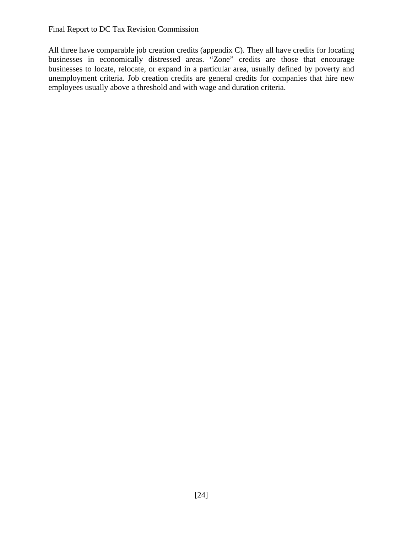All three have comparable job creation credits (appendix C). They all have credits for locating businesses in economically distressed areas. "Zone" credits are those that encourage businesses to locate, relocate, or expand in a particular area, usually defined by poverty and unemployment criteria. Job creation credits are general credits for companies that hire new employees usually above a threshold and with wage and duration criteria.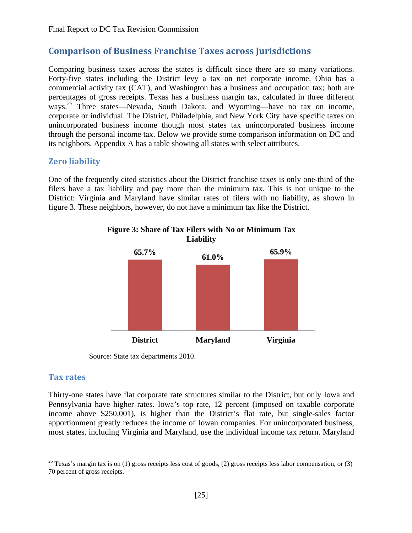# **Comparison of Business Franchise Taxes across Jurisdictions**

Comparing business taxes across the states is difficult since there are so many variations. Forty-five states including the District levy a tax on net corporate income. Ohio has a commercial activity tax (CAT), and Washington has a business and occupation tax; both are percentages of gross receipts. Texas has a business margin tax, calculated in three different ways.<sup>25</sup> Three states—Nevada, South Dakota, and Wyoming—have no tax on income, corporate or individual. The District, Philadelphia, and New York City have specific taxes on unincorporated business income though most states tax unincorporated business income through the personal income tax. Below we provide some comparison information on DC and its neighbors. Appendix A has a table showing all states with select attributes.

## **Zero liability**

One of the frequently cited statistics about the District franchise taxes is only one-third of the filers have a tax liability and pay more than the minimum tax. This is not unique to the District: Virginia and Maryland have similar rates of filers with no liability, as shown in figure 3. These neighbors, however, do not have a minimum tax like the District.



# **Figure 3: Share of Tax Filers with No or Minimum Tax Liability**

Source: State tax departments 2010.

## **Tax rates**

 $\overline{a}$ 

Thirty-one states have flat corporate rate structures similar to the District, but only Iowa and Pennsylvania have higher rates. Iowa's top rate, 12 percent (imposed on taxable corporate income above \$250,001), is higher than the District's flat rate, but single-sales factor apportionment greatly reduces the income of Iowan companies. For unincorporated business, most states, including Virginia and Maryland, use the individual income tax return. Maryland

<sup>&</sup>lt;sup>25</sup> Texas's margin tax is on (1) gross receipts less cost of goods, (2) gross receipts less labor compensation, or (3) 70 percent of gross receipts.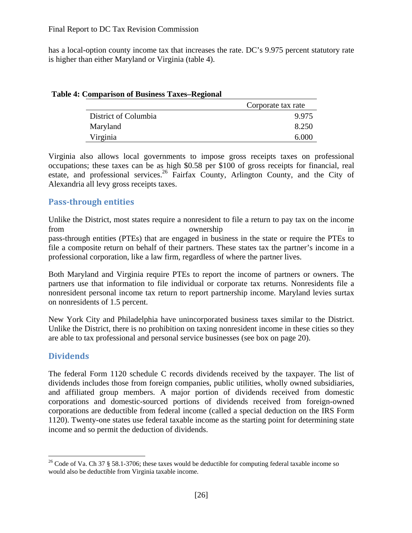has a local-option county income tax that increases the rate. DC's 9.975 percent statutory rate is higher than either Maryland or Virginia (table 4).

|                      | Corporate tax rate |  |
|----------------------|--------------------|--|
| District of Columbia | 9.975              |  |
| Maryland             | 8.250              |  |
| Virginia             | 6.000              |  |

#### **Table 4: Comparison of Business Taxes–Regional**

Virginia also allows local governments to impose gross receipts taxes on professional occupations; these taxes can be as high \$0.58 per \$100 of gross receipts for financial, real estate, and professional services.<sup>26</sup> Fairfax County, Arlington County, and the City of Alexandria all levy gross receipts taxes.

## **Pass‐through entities**

Unlike the District, most states require a nonresident to file a return to pay tax on the income from ownership in the same of the same ownership in the same of the same of the same of the same of the same of the same of the same of the same of the same of the same of the same of the same of the same of the same of th pass-through entities (PTEs) that are engaged in business in the state or require the PTEs to file a composite return on behalf of their partners. These states tax the partner's income in a professional corporation, like a law firm, regardless of where the partner lives.

Both Maryland and Virginia require PTEs to report the income of partners or owners. The partners use that information to file individual or corporate tax returns. Nonresidents file a nonresident personal income tax return to report partnership income. Maryland levies surtax on nonresidents of 1.5 percent.

New York City and Philadelphia have unincorporated business taxes similar to the District. Unlike the District, there is no prohibition on taxing nonresident income in these cities so they are able to tax professional and personal service businesses (see box on page 20).

## **Dividends**

1

The federal Form 1120 schedule C records dividends received by the taxpayer. The list of dividends includes those from foreign companies, public utilities, wholly owned subsidiaries, and affiliated group members. A major portion of dividends received from domestic corporations and domestic-sourced portions of dividends received from foreign-owned corporations are deductible from federal income (called a special deduction on the IRS Form 1120). Twenty-one states use federal taxable income as the starting point for determining state income and so permit the deduction of dividends.

<sup>&</sup>lt;sup>26</sup> Code of Va. Ch 37 § 58.1-3706; these taxes would be deductible for computing federal taxable income so would also be deductible from Virginia taxable income.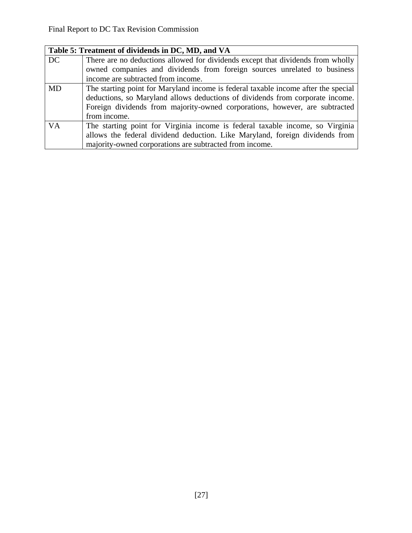|           | Table 5: Treatment of dividends in DC, MD, and VA                                  |
|-----------|------------------------------------------------------------------------------------|
| DC        | There are no deductions allowed for dividends except that dividends from wholly    |
|           | owned companies and dividends from foreign sources unrelated to business           |
|           | income are subtracted from income.                                                 |
| <b>MD</b> | The starting point for Maryland income is federal taxable income after the special |
|           | deductions, so Maryland allows deductions of dividends from corporate income.      |
|           | Foreign dividends from majority-owned corporations, however, are subtracted        |
|           | from income.                                                                       |
| <b>VA</b> | The starting point for Virginia income is federal taxable income, so Virginia      |
|           | allows the federal dividend deduction. Like Maryland, foreign dividends from       |
|           | majority-owned corporations are subtracted from income.                            |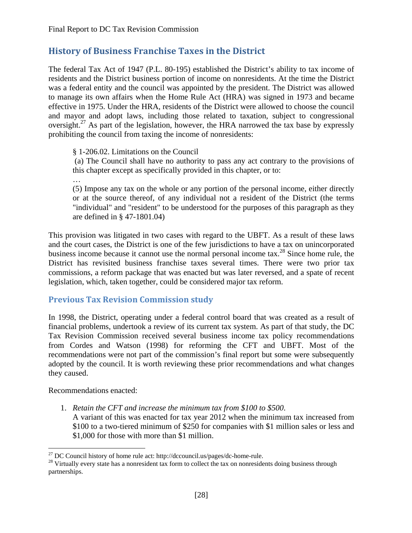# **History of Business Franchise Taxes in the District**

The federal Tax Act of 1947 (P.L. 80-195) established the District's ability to tax income of residents and the District business portion of income on nonresidents. At the time the District was a federal entity and the council was appointed by the president. The District was allowed to manage its own affairs when the Home Rule Act (HRA) was signed in 1973 and became effective in 1975. Under the HRA, residents of the District were allowed to choose the council and mayor and adopt laws, including those related to taxation, subject to congressional oversight.<sup>27</sup> As part of the legislation, however, the HRA narrowed the tax base by expressly prohibiting the council from taxing the income of nonresidents:

§ 1-206.02. Limitations on the Council

 (a) The Council shall have no authority to pass any act contrary to the provisions of this chapter except as specifically provided in this chapter, or to:

…

(5) Impose any tax on the whole or any portion of the personal income, either directly or at the source thereof, of any individual not a resident of the District (the terms "individual" and "resident" to be understood for the purposes of this paragraph as they are defined in § 47-1801.04)

This provision was litigated in two cases with regard to the UBFT. As a result of these laws and the court cases, the District is one of the few jurisdictions to have a tax on unincorporated business income because it cannot use the normal personal income tax.<sup>28</sup> Since home rule, the District has revisited business franchise taxes several times. There were two prior tax commissions, a reform package that was enacted but was later reversed, and a spate of recent legislation, which, taken together, could be considered major tax reform.

## **Previous Tax Revision Commission study**

In 1998, the District, operating under a federal control board that was created as a result of financial problems, undertook a review of its current tax system. As part of that study, the DC Tax Revision Commission received several business income tax policy recommendations from Cordes and Watson (1998) for reforming the CFT and UBFT. Most of the recommendations were not part of the commission's final report but some were subsequently adopted by the council. It is worth reviewing these prior recommendations and what changes they caused.

Recommendations enacted:

 $\overline{a}$ 

1. *Retain the CFT and increase the minimum tax from \$100 to \$500*. A variant of this was enacted for tax year 2012 when the minimum tax increased from \$100 to a two-tiered minimum of \$250 for companies with \$1 million sales or less and \$1,000 for those with more than \$1 million.

<sup>27</sup> DC Council history of home rule act: http://dccouncil.us/pages/dc-home-rule.

<sup>&</sup>lt;sup>28</sup> Virtually every state has a nonresident tax form to collect the tax on nonresidents doing business through partnerships.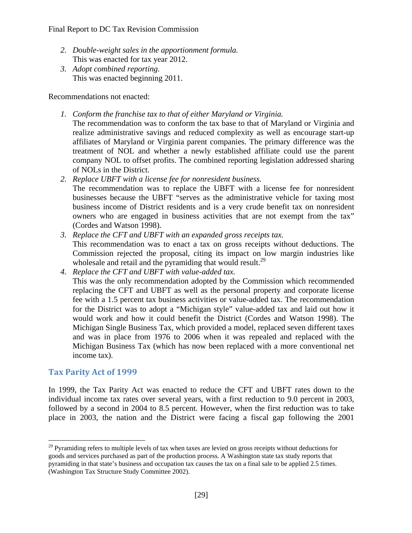- *2. Double-weight sales in the apportionment formula.*  This was enacted for tax year 2012.
- *3. Adopt combined reporting.*  This was enacted beginning 2011.

Recommendations not enacted:

*1. Conform the franchise tax to that of either Maryland or Virginia.* 

The recommendation was to conform the tax base to that of Maryland or Virginia and realize administrative savings and reduced complexity as well as encourage start-up affiliates of Maryland or Virginia parent companies. The primary difference was the treatment of NOL and whether a newly established affiliate could use the parent company NOL to offset profits. The combined reporting legislation addressed sharing of NOLs in the District.

- *2. Replace UBFT with a license fee for nonresident business.*  The recommendation was to replace the UBFT with a license fee for nonresident businesses because the UBFT "serves as the administrative vehicle for taxing most business income of District residents and is a very crude benefit tax on nonresident owners who are engaged in business activities that are not exempt from the tax" (Cordes and Watson 1998).
- *3. Replace the CFT and UBFT with an expanded gross receipts tax.*

This recommendation was to enact a tax on gross receipts without deductions. The Commission rejected the proposal, citing its impact on low margin industries like wholesale and retail and the pyramiding that would result.<sup>29</sup>

*4. Replace the CFT and UBFT with value-added tax.* 

This was the only recommendation adopted by the Commission which recommended replacing the CFT and UBFT as well as the personal property and corporate license fee with a 1.5 percent tax business activities or value-added tax. The recommendation for the District was to adopt a "Michigan style" value-added tax and laid out how it would work and how it could benefit the District (Cordes and Watson 1998). The Michigan Single Business Tax, which provided a model, replaced seven different taxes and was in place from 1976 to 2006 when it was repealed and replaced with the Michigan Business Tax (which has now been replaced with a more conventional net income tax).

# **Tax Parity Act of 1999**

In 1999, the Tax Parity Act was enacted to reduce the CFT and UBFT rates down to the individual income tax rates over several years, with a first reduction to 9.0 percent in 2003, followed by a second in 2004 to 8.5 percent. However, when the first reduction was to take place in 2003, the nation and the District were facing a fiscal gap following the 2001

<sup>1</sup> <sup>29</sup> Pyramiding refers to multiple levels of tax when taxes are levied on gross receipts without deductions for goods and services purchased as part of the production process. A Washington state tax study reports that pyramiding in that state's business and occupation tax causes the tax on a final sale to be applied 2.5 times. (Washington Tax Structure Study Committee 2002).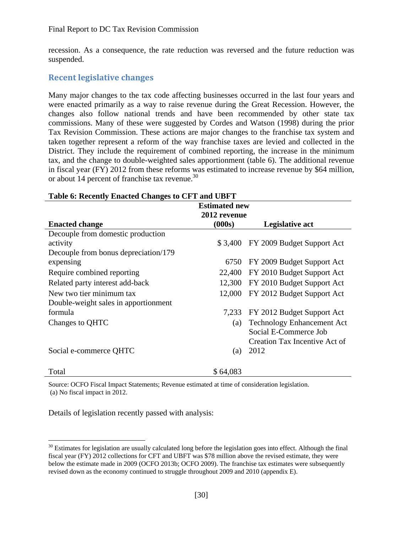recession. As a consequence, the rate reduction was reversed and the future reduction was suspended.

## **Recent legislative changes**

Many major changes to the tax code affecting businesses occurred in the last four years and were enacted primarily as a way to raise revenue during the Great Recession. However, the changes also follow national trends and have been recommended by other state tax commissions. Many of these were suggested by Cordes and Watson (1998) during the prior Tax Revision Commission. These actions are major changes to the franchise tax system and taken together represent a reform of the way franchise taxes are levied and collected in the District. They include the requirement of combined reporting, the increase in the minimum tax, and the change to double-weighted sales apportionment (table 6). The additional revenue in fiscal year (FY) 2012 from these reforms was estimated to increase revenue by \$64 million, or about 14 percent of franchise tax revenue.<sup>30</sup>

|                                      | <b>Estimated new</b><br>2012 revenue |                                    |
|--------------------------------------|--------------------------------------|------------------------------------|
| <b>Enacted change</b>                | (000s)                               | <b>Legislative act</b>             |
| Decouple from domestic production    |                                      |                                    |
| activity                             |                                      | \$3,400 FY 2009 Budget Support Act |
| Decouple from bonus depreciation/179 |                                      |                                    |
| expensing                            | 6750                                 | FY 2009 Budget Support Act         |
| Require combined reporting           |                                      | 22,400 FY 2010 Budget Support Act  |
| Related party interest add-back      | 12,300                               | FY 2010 Budget Support Act         |
| New two tier minimum tax             | 12,000                               | FY 2012 Budget Support Act         |
| Double-weight sales in apportionment |                                      |                                    |
| formula                              | 7,233                                | FY 2012 Budget Support Act         |
| Changes to QHTC                      | (a)                                  | <b>Technology Enhancement Act</b>  |
|                                      |                                      | Social E-Commerce Job              |
|                                      |                                      | Creation Tax Incentive Act of      |
| Social e-commerce QHTC               | (a)                                  | 2012                               |
| Total                                | \$64,083                             |                                    |

#### **Table 6: Recently Enacted Changes to CFT and UBFT**

Source: OCFO Fiscal Impact Statements; Revenue estimated at time of consideration legislation. (a) No fiscal impact in 2012.

Details of legislation recently passed with analysis:

 $\overline{a}$ 

 $30$  Estimates for legislation are usually calculated long before the legislation goes into effect. Although the final fiscal year (FY) 2012 collections for CFT and UBFT was \$78 million above the revised estimate, they were below the estimate made in 2009 (OCFO 2013b; OCFO 2009). The franchise tax estimates were subsequently revised down as the economy continued to struggle throughout 2009 and 2010 (appendix E).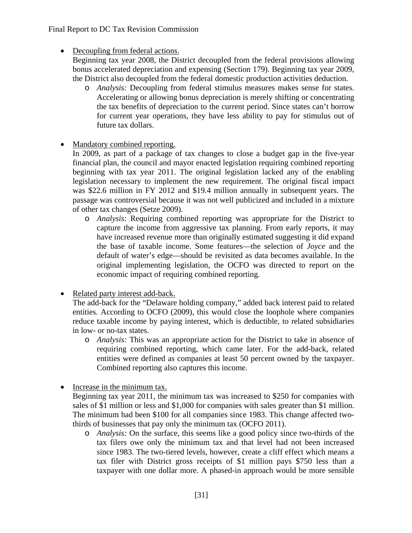• Decoupling from federal actions.

- Beginning tax year 2008, the District decoupled from the federal provisions allowing bonus accelerated depreciation and expensing (Section 179). Beginning tax year 2009, the District also decoupled from the federal domestic production activities deduction.
	- o *Analysis:* Decoupling from federal stimulus measures makes sense for states. Accelerating or allowing bonus depreciation is merely shifting or concentrating the tax benefits of depreciation to the current period. Since states can't borrow for current year operations, they have less ability to pay for stimulus out of future tax dollars.
- Mandatory combined reporting.
	- In 2009, as part of a package of tax changes to close a budget gap in the five-year financial plan, the council and mayor enacted legislation requiring combined reporting beginning with tax year 2011. The original legislation lacked any of the enabling legislation necessary to implement the new requirement. The original fiscal impact was \$22.6 million in FY 2012 and \$19.4 million annually in subsequent years. The passage was controversial because it was not well publicized and included in a mixture of other tax changes (Setze 2009).
		- o *Analysis*: Requiring combined reporting was appropriate for the District to capture the income from aggressive tax planning. From early reports, it may have increased revenue more than originally estimated suggesting it did expand the base of taxable income. Some features—the selection of *Joyce* and the default of water's edge—should be revisited as data becomes available. In the original implementing legislation, the OCFO was directed to report on the economic impact of requiring combined reporting.
- Related party interest add-back.

The add-back for the "Delaware holding company," added back interest paid to related entities. According to OCFO (2009), this would close the loophole where companies reduce taxable income by paying interest, which is deductible, to related subsidiaries in low- or no-tax states.

o *Analysis:* This was an appropriate action for the District to take in absence of requiring combined reporting, which came later. For the add-back, related entities were defined as companies at least 50 percent owned by the taxpayer. Combined reporting also captures this income.

• Increase in the minimum tax.

Beginning tax year 2011, the minimum tax was increased to \$250 for companies with sales of \$1 million or less and \$1,000 for companies with sales greater than \$1 million. The minimum had been \$100 for all companies since 1983. This change affected twothirds of businesses that pay only the minimum tax (OCFO 2011).

o *Analysis:* On the surface, this seems like a good policy since two-thirds of the tax filers owe only the minimum tax and that level had not been increased since 1983. The two-tiered levels, however, create a cliff effect which means a tax filer with District gross receipts of \$1 million pays \$750 less than a taxpayer with one dollar more. A phased-in approach would be more sensible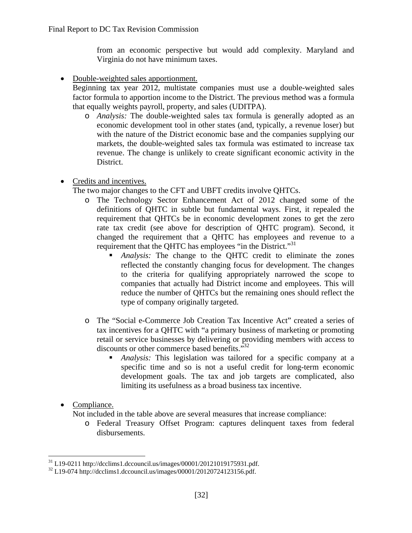from an economic perspective but would add complexity. Maryland and Virginia do not have minimum taxes.

• Double-weighted sales apportionment.

Beginning tax year 2012, multistate companies must use a double-weighted sales factor formula to apportion income to the District. The previous method was a formula that equally weights payroll, property, and sales (UDITPA).

- o *Analysis:* The double-weighted sales tax formula is generally adopted as an economic development tool in other states (and, typically, a revenue loser) but with the nature of the District economic base and the companies supplying our markets, the double-weighted sales tax formula was estimated to increase tax revenue. The change is unlikely to create significant economic activity in the District.
- Credits and incentives.

The two major changes to the CFT and UBFT credits involve QHTCs.

- o The Technology Sector Enhancement Act of 2012 changed some of the definitions of QHTC in subtle but fundamental ways. First, it repealed the requirement that QHTCs be in economic development zones to get the zero rate tax credit (see above for description of QHTC program). Second, it changed the requirement that a QHTC has employees and revenue to a requirement that the QHTC has employees "in the District."<sup>31</sup>
	- *Analysis:* The change to the QHTC credit to eliminate the zones reflected the constantly changing focus for development. The changes to the criteria for qualifying appropriately narrowed the scope to companies that actually had District income and employees. This will reduce the number of QHTCs but the remaining ones should reflect the type of company originally targeted.
- o The "Social e-Commerce Job Creation Tax Incentive Act" created a series of tax incentives for a QHTC with "a primary business of marketing or promoting retail or service businesses by delivering or providing members with access to discounts or other commerce based benefits."<sup>32</sup>
	- *Analysis:* This legislation was tailored for a specific company at a specific time and so is not a useful credit for long-term economic development goals. The tax and job targets are complicated, also limiting its usefulness as a broad business tax incentive.
- Compliance.

Not included in the table above are several measures that increase compliance:

o Federal Treasury Offset Program: captures delinquent taxes from federal disbursements.

 $\overline{a}$ 31 L19-0211 http://dcclims1.dccouncil.us/images/00001/20121019175931.pdf.

<sup>&</sup>lt;sup>32</sup> L19-074 http://dcclims1.dccouncil.us/images/00001/20120724123156.pdf.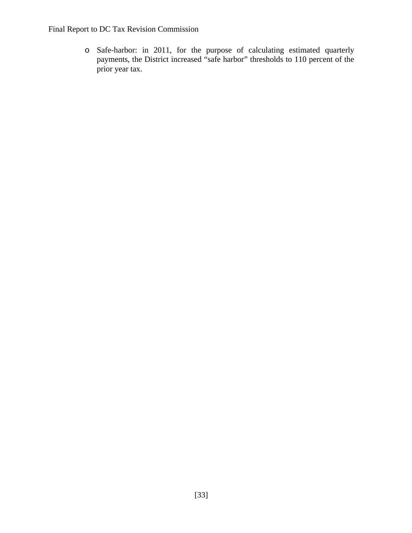o Safe-harbor: in 2011, for the purpose of calculating estimated quarterly payments, the District increased "safe harbor" thresholds to 110 percent of the prior year tax.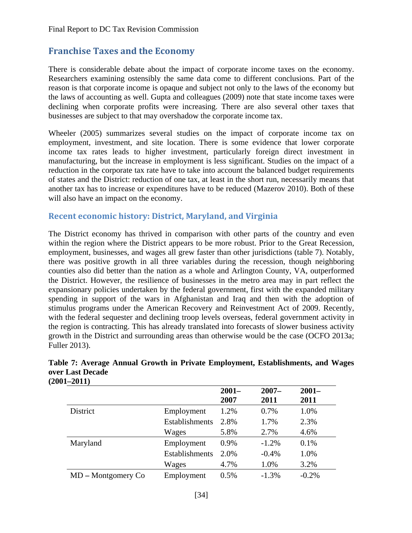# **Franchise Taxes and the Economy**

There is considerable debate about the impact of corporate income taxes on the economy. Researchers examining ostensibly the same data come to different conclusions. Part of the reason is that corporate income is opaque and subject not only to the laws of the economy but the laws of accounting as well. Gupta and colleagues (2009) note that state income taxes were declining when corporate profits were increasing. There are also several other taxes that businesses are subject to that may overshadow the corporate income tax.

Wheeler (2005) summarizes several studies on the impact of corporate income tax on employment, investment, and site location. There is some evidence that lower corporate income tax rates leads to higher investment, particularly foreign direct investment in manufacturing, but the increase in employment is less significant. Studies on the impact of a reduction in the corporate tax rate have to take into account the balanced budget requirements of states and the District: reduction of one tax, at least in the short run, necessarily means that another tax has to increase or expenditures have to be reduced (Mazerov 2010). Both of these will also have an impact on the economy.

## **Recent economic history: District, Maryland, and Virginia**

The District economy has thrived in comparison with other parts of the country and even within the region where the District appears to be more robust. Prior to the Great Recession, employment, businesses, and wages all grew faster than other jurisdictions (table 7). Notably, there was positive growth in all three variables during the recession, though neighboring counties also did better than the nation as a whole and Arlington County, VA, outperformed the District. However, the resilience of businesses in the metro area may in part reflect the expansionary policies undertaken by the federal government, first with the expanded military spending in support of the wars in Afghanistan and Iraq and then with the adoption of stimulus programs under the American Recovery and Reinvestment Act of 2009. Recently, with the federal sequester and declining troop levels overseas, federal government activity in the region is contracting. This has already translated into forecasts of slower business activity growth in the District and surrounding areas than otherwise would be the case (OCFO 2013a; Fuller 2013).

| VI–4V11)           |                       | $2001 -$ | $2007 -$ | $2001 -$ |
|--------------------|-----------------------|----------|----------|----------|
|                    |                       | 2007     | 2011     | 2011     |
| District           | Employment            | 1.2%     | 0.7%     | 1.0%     |
|                    | <b>Establishments</b> | 2.8%     | 1.7%     | 2.3%     |
|                    | Wages                 | 5.8%     | 2.7%     | 4.6%     |
| Maryland           | Employment            | 0.9%     | $-1.2\%$ | 0.1%     |
|                    | Establishments        | 2.0%     | $-0.4%$  | 1.0%     |
|                    | Wages                 | 4.7%     | 1.0%     | 3.2%     |
| MD – Montgomery Co | Employment            | 0.5%     | $-1.3%$  | $-0.2\%$ |

#### **Table 7: Average Annual Growth in Private Employment, Establishments, and Wages over Last Decade (2001–2011)**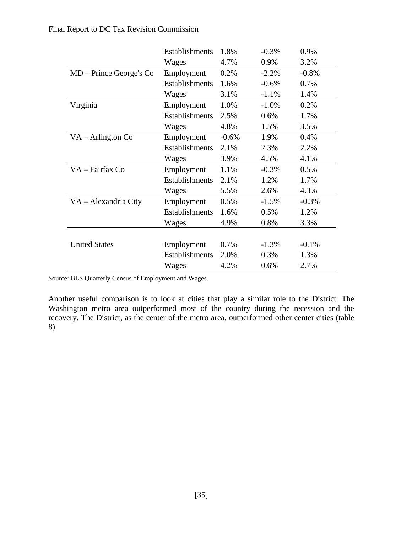| Final Report to DC Tax Revision Commission |  |  |
|--------------------------------------------|--|--|
|--------------------------------------------|--|--|

|                         | Establishments | 1.8%    | $-0.3%$ | 0.9%     |
|-------------------------|----------------|---------|---------|----------|
|                         | Wages          | 4.7%    | 0.9%    | 3.2%     |
| MD – Prince George's Co | Employment     | 0.2%    | $-2.2%$ | $-0.8\%$ |
|                         | Establishments | 1.6%    | $-0.6%$ | 0.7%     |
|                         | Wages          | 3.1%    | $-1.1%$ | 1.4%     |
| Virginia                | Employment     | 1.0%    | $-1.0%$ | 0.2%     |
|                         | Establishments | 2.5%    | 0.6%    | 1.7%     |
|                         | Wages          | 4.8%    | 1.5%    | 3.5%     |
| $VA - Arlington Co$     | Employment     | $-0.6%$ | 1.9%    | 0.4%     |
|                         | Establishments | 2.1%    | 2.3%    | 2.2%     |
|                         | Wages          | 3.9%    | 4.5%    | 4.1%     |
| VA - Fairfax Co         | Employment     | 1.1%    | $-0.3%$ | 0.5%     |
|                         | Establishments | 2.1%    | 1.2%    | 1.7%     |
|                         | Wages          | 5.5%    | 2.6%    | 4.3%     |
| VA - Alexandria City    | Employment     | 0.5%    | $-1.5%$ | $-0.3%$  |
|                         | Establishments | 1.6%    | 0.5%    | 1.2%     |
|                         | Wages          | 4.9%    | 0.8%    | 3.3%     |
|                         |                |         |         |          |
| <b>United States</b>    | Employment     | 0.7%    | $-1.3%$ | $-0.1%$  |
|                         | Establishments | 2.0%    | 0.3%    | 1.3%     |
|                         | Wages          | 4.2%    | 0.6%    | 2.7%     |

Source: BLS Quarterly Census of Employment and Wages.

Another useful comparison is to look at cities that play a similar role to the District. The Washington metro area outperformed most of the country during the recession and the recovery. The District, as the center of the metro area, outperformed other center cities (table 8).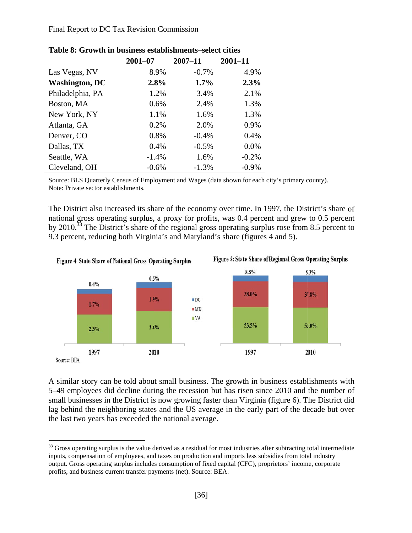$\overline{a}$ 

 $\overline{a}$ 

 $\overline{a}$ 

| Table o: Growth in business establishments—select cities |             |             |             |
|----------------------------------------------------------|-------------|-------------|-------------|
|                                                          | $2001 - 07$ | $2007 - 11$ | $2001 - 11$ |
| Las Vegas, NV                                            | 8.9%        | $-0.7\%$    | 4.9%        |
| <b>Washington, DC</b>                                    | 2.8%        | $1.7\%$     | 2.3%        |
| Philadelphia, PA                                         | 1.2%        | 3.4%        | 2.1%        |
| Boston, MA                                               | 0.6%        | 2.4%        | 1.3%        |
| New York, NY                                             | 1.1%        | 1.6%        | 1.3%        |
| Atlanta, GA                                              | 0.2%        | 2.0%        | 0.9%        |
| Denver, CO                                               | 0.8%        | $-0.4%$     | 0.4%        |
| Dallas, TX                                               | 0.4%        | $-0.5%$     | 0.0%        |
| Seattle, WA                                              | $-1.4%$     | 1.6%        | $-0.2%$     |
| Cleveland, OH                                            | $-0.6%$     | $-1.3%$     | $-0.9\%$    |

**Table 8: Growth in business es tablishment ts**–**select cit ties** 

Source: BLS Quarterly Census of Employment and Wages (data shown for each city's primary county). Note: Private sector establishments.

The District also increased its share of the economy over time. In 1997, the District's share of national gross operating surplus, a proxy for profits, was 0.4 percent and grew to 0.5 percent by 2010.<sup>33</sup> The District's share of the regional gross operating surplus rose from 8.5 percent to 9.3 percent, reducing both Virginia's and Maryland's share (figures 4 and 5).



A similar story can be told about small business. The growth in business establishments with 5–49 employees did decline during the recession but has risen since 2010 and the number of small businesses in the District is now growing faster than Virginia (figure 6). The District did lag behind the neighboring states and the US average in the early part of the decade but over the last two years has exceeded the national average.

 $33$  Gross operating surplus is the value derived as a residual for most industries after subtracting total intermediate inputs, compensation of employees, and taxes on production and imports less subsidies from total industry output. Gross operating surplus includes consumption of fixed capital (CFC), proprietors' income, corporate profits, and business current transfer payments (net). Source: BEA.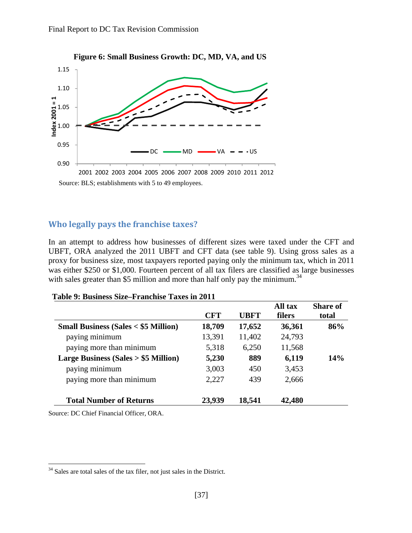

#### **Who legally pays the franchise taxes?**

In an attempt to address how businesses of different sizes were taxed under the CFT and UBFT, ORA analyzed the 2011 UBFT and CFT data (see table 9). Using gross sales as a proxy for business size, most taxpayers reported paying only the minimum tax, which in 2011 was either \$250 or \$1,000. Fourteen percent of all tax filers are classified as large businesses with sales greater than \$5 million and more than half only pay the minimum.<sup>34</sup>

|                                                             | <b>CFT</b> | <b>UBFT</b> | All tax<br><b>filers</b> | <b>Share of</b><br>total |
|-------------------------------------------------------------|------------|-------------|--------------------------|--------------------------|
| <b>Small Business (Sales <math>&lt;</math> \$5 Million)</b> | 18,709     | 17,652      | 36,361                   | 86%                      |
| paying minimum                                              | 13,391     | 11,402      | 24,793                   |                          |
| paying more than minimum                                    | 5,318      | 6,250       | 11,568                   |                          |
| <b>Large Business (Sales &gt; \$5 Million)</b>              | 5,230      | 889         | 6,119                    | 14%                      |
| paying minimum                                              | 3,003      | 450         | 3,453                    |                          |
| paying more than minimum                                    | 2,227      | 439         | 2,666                    |                          |
| <b>Total Number of Returns</b>                              | 23,939     | 18,541      | 42,480                   |                          |

#### **Table 9: Business Size–Franchise Taxes in 2011**

Source: DC Chief Financial Officer, ORA.

 $\overline{a}$ 

 $34$  Sales are total sales of the tax filer, not just sales in the District.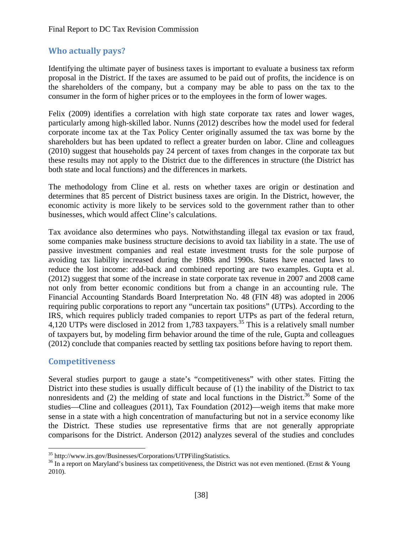# **Who actually pays?**

Identifying the ultimate payer of business taxes is important to evaluate a business tax reform proposal in the District. If the taxes are assumed to be paid out of profits, the incidence is on the shareholders of the company, but a company may be able to pass on the tax to the consumer in the form of higher prices or to the employees in the form of lower wages.

Felix (2009) identifies a correlation with high state corporate tax rates and lower wages, particularly among high-skilled labor. Nunns (2012) describes how the model used for federal corporate income tax at the Tax Policy Center originally assumed the tax was borne by the shareholders but has been updated to reflect a greater burden on labor. Cline and colleagues (2010) suggest that households pay 24 percent of taxes from changes in the corporate tax but these results may not apply to the District due to the differences in structure (the District has both state and local functions) and the differences in markets.

The methodology from Cline et al. rests on whether taxes are origin or destination and determines that 85 percent of District business taxes are origin. In the District, however, the economic activity is more likely to be services sold to the government rather than to other businesses, which would affect Cline's calculations.

Tax avoidance also determines who pays. Notwithstanding illegal tax evasion or tax fraud, some companies make business structure decisions to avoid tax liability in a state. The use of passive investment companies and real estate investment trusts for the sole purpose of avoiding tax liability increased during the 1980s and 1990s. States have enacted laws to reduce the lost income: add-back and combined reporting are two examples. Gupta et al. (2012) suggest that some of the increase in state corporate tax revenue in 2007 and 2008 came not only from better economic conditions but from a change in an accounting rule. The Financial Accounting Standards Board Interpretation No. 48 (FIN 48) was adopted in 2006 requiring public corporations to report any "uncertain tax positions" (UTPs). According to the IRS, which requires publicly traded companies to report UTPs as part of the federal return, 4,120 UTPs were disclosed in 2012 from 1,783 taxpayers.<sup>35</sup> This is a relatively small number of taxpayers but, by modeling firm behavior around the time of the rule, Gupta and colleagues (2012) conclude that companies reacted by settling tax positions before having to report them.

## **Competitiveness**

Several studies purport to gauge a state's "competitiveness" with other states. Fitting the District into these studies is usually difficult because of (1) the inability of the District to tax nonresidents and  $(2)$  the melding of state and local functions in the District.<sup>36</sup> Some of the studies—Cline and colleagues (2011), Tax Foundation (2012)—weigh items that make more sense in a state with a high concentration of manufacturing but not in a service economy like the District. These studies use representative firms that are not generally appropriate comparisons for the District. Anderson (2012) analyzes several of the studies and concludes

<sup>&</sup>lt;sup>35</sup> http://www.irs.gov/Businesses/Corporations/UTPFilingStatistics.

 $36$  In a report on Maryland's business tax competitiveness, the District was not even mentioned. (Ernst & Young 2010).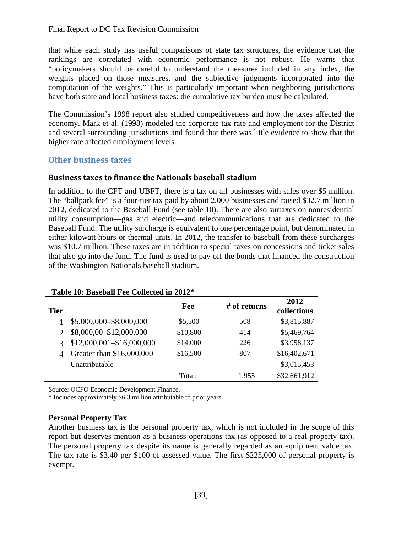that while each study has useful comparisons of state tax structures, the evidence that the rankings are correlated with economic performance is not robust. He warns that "policymakers should be careful to understand the measures included in any index, the weights placed on those measures, and the subjective judgments incorporated into the computation of the weights." This is particularly important when neighboring jurisdictions have both state and local business taxes: the cumulative tax burden must be calculated.

The Commission's 1998 report also studied competitiveness and how the taxes affected the economy. Mark et al. (1998) modeled the corporate tax rate and employment for the District and several surrounding jurisdictions and found that there was little evidence to show that the higher rate affected employment levels.

## **Other business taxes**

#### **Business taxes to finance the Nationals baseball stadium**

In addition to the CFT and UBFT, there is a tax on all businesses with sales over \$5 million. The "ballpark fee" is a four-tier tax paid by about 2,000 businesses and raised \$32.7 million in 2012, dedicated to the Baseball Fund (see table 10). There are also surtaxes on nonresidential utility consumption—gas and electric—and telecommunications that are dedicated to the Baseball Fund. The utility surcharge is equivalent to one percentage point, but denominated in either kilowatt hours or thermal units. In 2012, the transfer to baseball from these surcharges was \$10.7 million. These taxes are in addition to special taxes on concessions and ticket sales that also go into the fund. The fund is used to pay off the bonds that financed the construction of the Washington Nationals baseball stadium.

| <b>Tier</b>           |                           | Fee      | # of returns | 2012<br>collections |
|-----------------------|---------------------------|----------|--------------|---------------------|
|                       | \$5,000,000-\$8,000,000   | \$5,500  | 508          | \$3,815,887         |
| $\mathcal{D}_{\cdot}$ | \$8,000,00 - \$12,000,000 | \$10,800 | 414          | \$5,469,764         |
| $\mathcal{R}$         | \$12,000,001-\$16,000,000 | \$14,000 | 226          | \$3,958,137         |
| $\overline{A}$        | Greater than \$16,000,000 | \$16,500 | 807          | \$16,402,671        |
|                       | Unattributable            |          |              | \$3,015,453         |
|                       |                           | Total:   | 1.955        | \$32,661,912        |

#### **Table 10: Baseball Fee Collected in 2012\***

Source: OCFO Economic Development Finance.

\* Includes approximately \$6.3 million attributable to prior years.

## **Personal Property Tax**

Another business tax is the personal property tax, which is not included in the scope of this report but deserves mention as a business operations tax (as opposed to a real property tax). The personal property tax despite its name is generally regarded as an equipment value tax. The tax rate is \$3.40 per \$100 of assessed value. The first \$225,000 of personal property is exempt.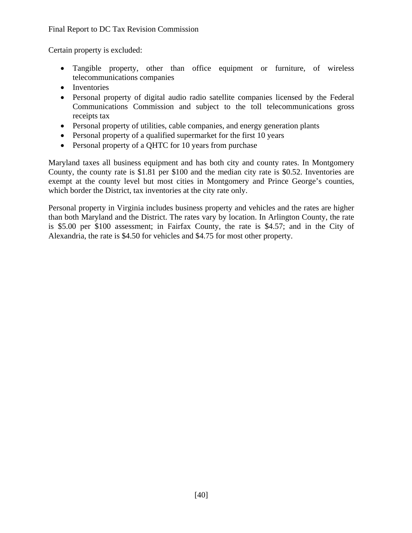Certain property is excluded:

- Tangible property, other than office equipment or furniture, of wireless telecommunications companies
- Inventories
- Personal property of digital audio radio satellite companies licensed by the Federal Communications Commission and subject to the toll telecommunications gross receipts tax
- Personal property of utilities, cable companies, and energy generation plants
- Personal property of a qualified supermarket for the first 10 years
- Personal property of a OHTC for 10 years from purchase

Maryland taxes all business equipment and has both city and county rates. In Montgomery County, the county rate is \$1.81 per \$100 and the median city rate is \$0.52. Inventories are exempt at the county level but most cities in Montgomery and Prince George's counties, which border the District, tax inventories at the city rate only.

Personal property in Virginia includes business property and vehicles and the rates are higher than both Maryland and the District. The rates vary by location. In Arlington County, the rate is \$5.00 per \$100 assessment; in Fairfax County, the rate is \$4.57; and in the City of Alexandria, the rate is \$4.50 for vehicles and \$4.75 for most other property.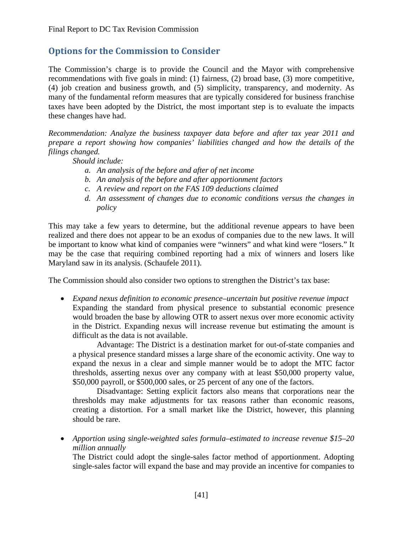# **Options for the Commission to Consider**

The Commission's charge is to provide the Council and the Mayor with comprehensive recommendations with five goals in mind: (1) fairness, (2) broad base, (3) more competitive, (4) job creation and business growth, and (5) simplicity, transparency, and modernity. As many of the fundamental reform measures that are typically considered for business franchise taxes have been adopted by the District, the most important step is to evaluate the impacts these changes have had.

*Recommendation: Analyze the business taxpayer data before and after tax year 2011 and prepare a report showing how companies' liabilities changed and how the details of the filings changed.* 

 *Should include:* 

- *a. An analysis of the before and after of net income*
- *b. An analysis of the before and after apportionment factors*
- *c. A review and report on the FAS 109 deductions claimed*
- *d. An assessment of changes due to economic conditions versus the changes in policy*

This may take a few years to determine, but the additional revenue appears to have been realized and there does not appear to be an exodus of companies due to the new laws. It will be important to know what kind of companies were "winners" and what kind were "losers." It may be the case that requiring combined reporting had a mix of winners and losers like Maryland saw in its analysis. (Schaufele 2011).

The Commission should also consider two options to strengthen the District's tax base:

 *Expand nexus definition to economic presence–uncertain but positive revenue impact*  Expanding the standard from physical presence to substantial economic presence would broaden the base by allowing OTR to assert nexus over more economic activity in the District. Expanding nexus will increase revenue but estimating the amount is difficult as the data is not available.

Advantage: The District is a destination market for out-of-state companies and a physical presence standard misses a large share of the economic activity. One way to expand the nexus in a clear and simple manner would be to adopt the MTC factor thresholds, asserting nexus over any company with at least \$50,000 property value, \$50,000 payroll, or \$500,000 sales, or 25 percent of any one of the factors.

Disadvantage: Setting explicit factors also means that corporations near the thresholds may make adjustments for tax reasons rather than economic reasons, creating a distortion. For a small market like the District, however, this planning should be rare.

 *Apportion using single-weighted sales formula–estimated to increase revenue \$15–20 million annually* 

The District could adopt the single-sales factor method of apportionment. Adopting single-sales factor will expand the base and may provide an incentive for companies to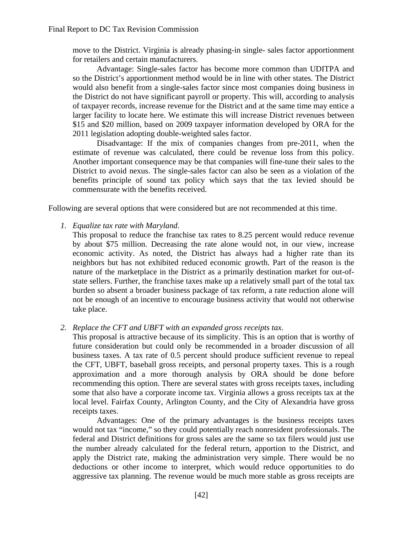move to the District. Virginia is already phasing-in single- sales factor apportionment for retailers and certain manufacturers.

 Advantage: Single-sales factor has become more common than UDITPA and so the District's apportionment method would be in line with other states. The District would also benefit from a single-sales factor since most companies doing business in the District do not have significant payroll or property. This will, according to analysis of taxpayer records, increase revenue for the District and at the same time may entice a larger facility to locate here. We estimate this will increase District revenues between \$15 and \$20 million, based on 2009 taxpayer information developed by ORA for the 2011 legislation adopting double-weighted sales factor.

 Disadvantage: If the mix of companies changes from pre-2011, when the estimate of revenue was calculated, there could be revenue loss from this policy. Another important consequence may be that companies will fine-tune their sales to the District to avoid nexus. The single-sales factor can also be seen as a violation of the benefits principle of sound tax policy which says that the tax levied should be commensurate with the benefits received.

Following are several options that were considered but are not recommended at this time.

*1. Equalize tax rate with Maryland.* 

This proposal to reduce the franchise tax rates to 8.25 percent would reduce revenue by about \$75 million. Decreasing the rate alone would not, in our view, increase economic activity. As noted, the District has always had a higher rate than its neighbors but has not exhibited reduced economic growth. Part of the reason is the nature of the marketplace in the District as a primarily destination market for out-ofstate sellers. Further, the franchise taxes make up a relatively small part of the total tax burden so absent a broader business package of tax reform, a rate reduction alone will not be enough of an incentive to encourage business activity that would not otherwise take place.

*2. Replace the CFT and UBFT with an expanded gross receipts tax.* 

This proposal is attractive because of its simplicity. This is an option that is worthy of future consideration but could only be recommended in a broader discussion of all business taxes. A tax rate of 0.5 percent should produce sufficient revenue to repeal the CFT, UBFT, baseball gross receipts, and personal property taxes. This is a rough approximation and a more thorough analysis by ORA should be done before recommending this option. There are several states with gross receipts taxes, including some that also have a corporate income tax. Virginia allows a gross receipts tax at the local level. Fairfax County, Arlington County, and the City of Alexandria have gross receipts taxes.

 Advantages: One of the primary advantages is the business receipts taxes would not tax "income," so they could potentially reach nonresident professionals. The federal and District definitions for gross sales are the same so tax filers would just use the number already calculated for the federal return, apportion to the District, and apply the District rate, making the administration very simple. There would be no deductions or other income to interpret, which would reduce opportunities to do aggressive tax planning. The revenue would be much more stable as gross receipts are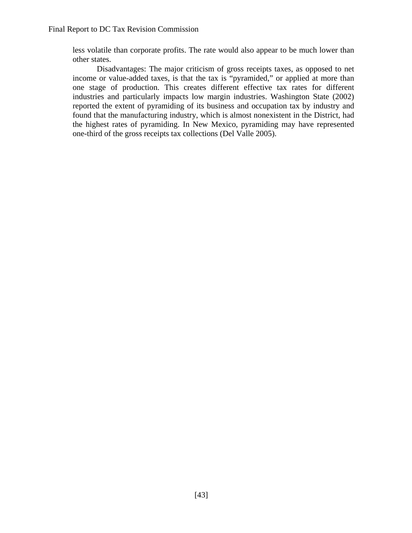less volatile than corporate profits. The rate would also appear to be much lower than other states.

 Disadvantages: The major criticism of gross receipts taxes, as opposed to net income or value-added taxes, is that the tax is "pyramided," or applied at more than one stage of production. This creates different effective tax rates for different industries and particularly impacts low margin industries. Washington State (2002) reported the extent of pyramiding of its business and occupation tax by industry and found that the manufacturing industry, which is almost nonexistent in the District, had the highest rates of pyramiding. In New Mexico, pyramiding may have represented one-third of the gross receipts tax collections (Del Valle 2005).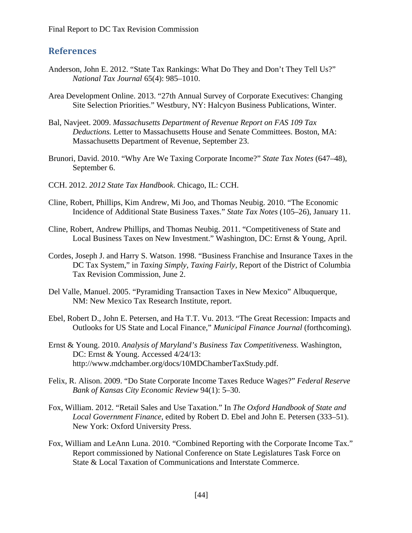## **References**

- Anderson, John E. 2012. "State Tax Rankings: What Do They and Don't They Tell Us?" *National Tax Journal* 65(4): 985–1010.
- Area Development Online. 2013. "27th Annual Survey of Corporate Executives: Changing Site Selection Priorities." Westbury, NY: Halcyon Business Publications, Winter.
- Bal, Navjeet. 2009. *Massachusetts Department of Revenue Report on FAS 109 Tax Deductions.* Letter to Massachusetts House and Senate Committees. Boston, MA: Massachusetts Department of Revenue, September 23.
- Brunori, David. 2010. "Why Are We Taxing Corporate Income?" *State Tax Notes* (647–48), September 6.
- CCH. 2012. *2012 State Tax Handbook*. Chicago, IL: CCH.
- Cline, Robert, Phillips, Kim Andrew, Mi Joo, and Thomas Neubig. 2010. "The Economic Incidence of Additional State Business Taxes." *State Tax Notes* (105–26), January 11.
- Cline, Robert, Andrew Phillips, and Thomas Neubig. 2011. "Competitiveness of State and Local Business Taxes on New Investment." Washington, DC: Ernst & Young, April.
- Cordes, Joseph J. and Harry S. Watson. 1998. "Business Franchise and Insurance Taxes in the DC Tax System," in *Taxing Simply, Taxing Fairly,* Report of the District of Columbia Tax Revision Commission, June 2.
- Del Valle, Manuel. 2005. "Pyramiding Transaction Taxes in New Mexico" Albuquerque, NM: New Mexico Tax Research Institute, report.
- Ebel, Robert D., John E. Petersen, and Ha T.T. Vu. 2013. "The Great Recession: Impacts and Outlooks for US State and Local Finance," *Municipal Finance Journal* (forthcoming).
- Ernst & Young. 2010. *Analysis of Maryland's Business Tax Competitiveness.* Washington, DC: Ernst & Young. Accessed 4/24/13: http://www.mdchamber.org/docs/10MDChamberTaxStudy.pdf.
- Felix, R. Alison. 2009. "Do State Corporate Income Taxes Reduce Wages?" *Federal Reserve Bank of Kansas City Economic Review* 94(1): 5–30.
- Fox, William. 2012. "Retail Sales and Use Taxation." In *The Oxford Handbook of State and Local Government Finance*, edited by Robert D. Ebel and John E. Petersen (333–51). New York: Oxford University Press.
- Fox, William and LeAnn Luna. 2010. "Combined Reporting with the Corporate Income Tax." Report commissioned by National Conference on State Legislatures Task Force on State & Local Taxation of Communications and Interstate Commerce.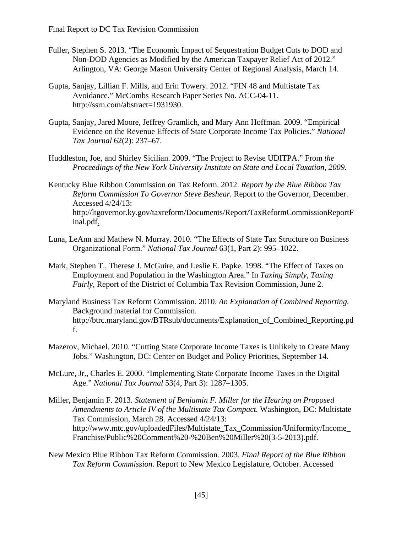- Fuller, Stephen S. 2013. "The Economic Impact of Sequestration Budget Cuts to DOD and Non-DOD Agencies as Modified by the American Taxpayer Relief Act of 2012." Arlington, VA: George Mason University Center of Regional Analysis, March 14.
- Gupta, Sanjay, Lillian F. Mills, and Erin Towery. 2012. "FIN 48 and Multistate Tax Avoidance." McCombs Research Paper Series No. ACC-04-11. http://ssrn.com/abstract=1931930.
- Gupta, Sanjay, Jared Moore, Jeffrey Gramlich, and Mary Ann Hoffman. 2009. "Empirical Evidence on the Revenue Effects of State Corporate Income Tax Policies." *National Tax Journal* 62(2): 237–67.
- Huddleston, Joe, and Shirley Sicilian. 2009. "The Project to Revise UDITPA." From *the Proceedings of the New York University Institute on State and Local Taxation, 2009*.
- Kentucky Blue Ribbon Commission on Tax Reform. 2012. *Report by the Blue Ribbon Tax Reform Commission To Governor Steve Beshear.* Report to the Governor, December. Accessed 4/24/13: http://ltgovernor.ky.gov/taxreform/Documents/Report/TaxReformCommissionReportF inal.pdf.
- Luna, LeAnn and Mathew N. Murray. 2010. "The Effects of State Tax Structure on Business Organizational Form." *National Tax Journal* 63(1, Part 2): 995–1022.
- Mark, Stephen T., Therese J. McGuire, and Leslie E. Papke. 1998. "The Effect of Taxes on Employment and Population in the Washington Area." In *Taxing Simply, Taxing Fairly,* Report of the District of Columbia Tax Revision Commission, June 2.
- Maryland Business Tax Reform Commission. 2010. *An Explanation of Combined Reporting.* Background material for Commission. http://btrc.maryland.gov/BTRsub/documents/Explanation\_of\_Combined\_Reporting.pd f.
- Mazerov, Michael. 2010. "Cutting State Corporate Income Taxes is Unlikely to Create Many Jobs." Washington, DC: Center on Budget and Policy Priorities, September 14.
- McLure, Jr., Charles E. 2000. "Implementing State Corporate Income Taxes in the Digital Age." *National Tax Journal* 53(4, Part 3): 1287–1305.
- Miller, Benjamin F. 2013. *Statement of Benjamin F. Miller for the Hearing on Proposed Amendments to Article IV of the Multistate Tax Compact.* Washington, DC: Multistate Tax Commission, March 28. Accessed 4/24/13: http://www.mtc.gov/uploadedFiles/Multistate\_Tax\_Commission/Uniformity/Income\_ Franchise/Public%20Comment%20-%20Ben%20Miller%20(3-5-2013).pdf.
- New Mexico Blue Ribbon Tax Reform Commission. 2003. *Final Report of the Blue Ribbon Tax Reform Commission*. Report to New Mexico Legislature, October. Accessed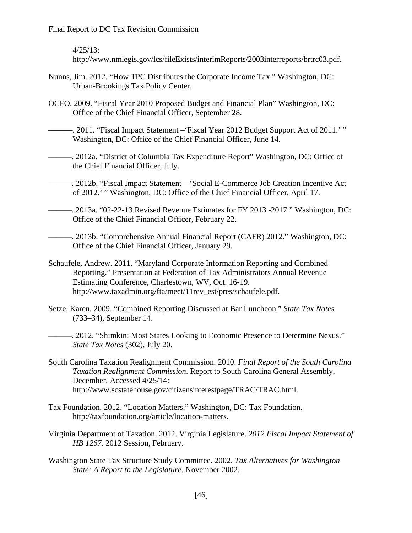4/25/13:

http://www.nmlegis.gov/lcs/fileExists/interimReports/2003interreports/brtrc03.pdf.

- Nunns, Jim. 2012. "How TPC Distributes the Corporate Income Tax." Washington, DC: Urban-Brookings Tax Policy Center.
- OCFO. 2009. "Fiscal Year 2010 Proposed Budget and Financial Plan" Washington, DC: Office of the Chief Financial Officer, September 28.
- ———. 2011. "Fiscal Impact Statement –'Fiscal Year 2012 Budget Support Act of 2011.' " Washington, DC: Office of the Chief Financial Officer, June 14.

———. 2012a. "District of Columbia Tax Expenditure Report" Washington, DC: Office of the Chief Financial Officer, July.

———. 2012b. "Fiscal Impact Statement—'Social E-Commerce Job Creation Incentive Act of 2012.' " Washington, DC: Office of the Chief Financial Officer, April 17.

———. 2013a. "02-22-13 Revised Revenue Estimates for FY 2013 -2017." Washington, DC: Office of the Chief Financial Officer, February 22.

———. 2013b. "Comprehensive Annual Financial Report (CAFR) 2012." Washington, DC: Office of the Chief Financial Officer, January 29.

- Schaufele, Andrew. 2011. "Maryland Corporate Information Reporting and Combined Reporting." Presentation at Federation of Tax Administrators Annual Revenue Estimating Conference, Charlestown, WV, Oct. 16-19. http://www.taxadmin.org/fta/meet/11rev\_est/pres/schaufele.pdf.
- Setze, Karen. 2009. "Combined Reporting Discussed at Bar Luncheon." *State Tax Notes* (733–34), September 14.

———. 2012. "Shimkin: Most States Looking to Economic Presence to Determine Nexus." *State Tax Notes* (302), July 20.

- South Carolina Taxation Realignment Commission. 2010. *Final Report of the South Carolina Taxation Realignment Commission*. Report to South Carolina General Assembly, December. Accessed 4/25/14: http://www.scstatehouse.gov/citizensinterestpage/TRAC/TRAC.html.
- Tax Foundation. 2012. "Location Matters." Washington, DC: Tax Foundation. http://taxfoundation.org/article/location-matters.
- Virginia Department of Taxation. 2012. Virginia Legislature. *2012 Fiscal Impact Statement of HB 1267.* 2012 Session, February.
- Washington State Tax Structure Study Committee. 2002. *Tax Alternatives for Washington State: A Report to the Legislature*. November 2002.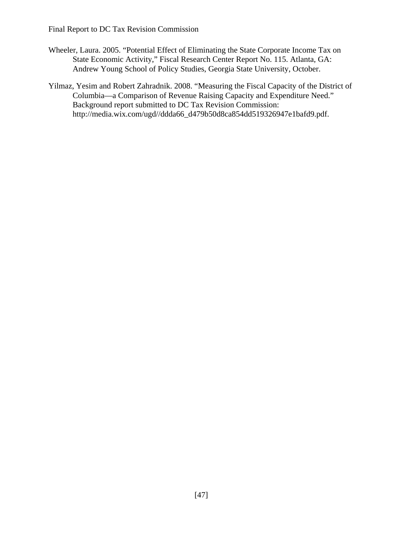- Wheeler, Laura. 2005. "Potential Effect of Eliminating the State Corporate Income Tax on State Economic Activity," Fiscal Research Center Report No. 115. Atlanta, GA: Andrew Young School of Policy Studies, Georgia State University, October.
- Yilmaz, Yesim and Robert Zahradnik. 2008. "Measuring the Fiscal Capacity of the District of Columbia—a Comparison of Revenue Raising Capacity and Expenditure Need." Background report submitted to DC Tax Revision Commission: http://media.wix.com/ugd//ddda66\_d479b50d8ca854dd519326947e1bafd9.pdf.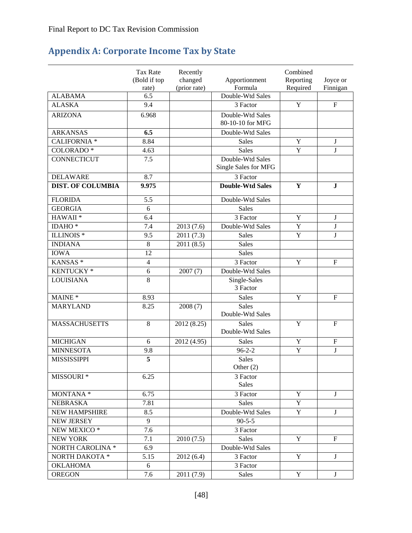# **Appendix A: Corporate Income Tax by State**

|                          | <b>Tax Rate</b><br>(Bold if top | Recently<br>changed | Apportionment                            | Combined<br>Reporting | Joyce or                  |
|--------------------------|---------------------------------|---------------------|------------------------------------------|-----------------------|---------------------------|
|                          | rate)                           | (prior rate)        | Formula                                  | Required              | Finnigan                  |
| <b>ALABAMA</b>           | 6.5                             |                     | Double-Wtd Sales                         |                       |                           |
| <b>ALASKA</b>            | 9.4                             |                     | 3 Factor                                 | $\mathbf Y$           | $\boldsymbol{\mathrm{F}}$ |
| <b>ARIZONA</b>           | 6.968                           |                     | Double-Wtd Sales<br>80-10-10 for MFG     |                       |                           |
| <b>ARKANSAS</b>          | 6.5                             |                     | Double-Wtd Sales                         |                       |                           |
| <b>CALIFORNIA *</b>      | 8.84                            |                     | <b>Sales</b>                             | Y                     | ${\bf J}$                 |
| COLORADO <sup>*</sup>    | 4.63                            |                     | <b>Sales</b>                             | $\overline{Y}$        | J                         |
| CONNECTICUT              | 7.5                             |                     | Double-Wtd Sales<br>Single Sales for MFG |                       |                           |
| <b>DELAWARE</b>          | 8.7                             |                     | 3 Factor                                 |                       |                           |
| <b>DIST. OF COLUMBIA</b> | 9.975                           |                     | <b>Double-Wtd Sales</b>                  | Y                     | $\mathbf{J}$              |
| <b>FLORIDA</b>           | 5.5                             |                     | Double-Wtd Sales                         |                       |                           |
| <b>GEORGIA</b>           | 6                               |                     | <b>Sales</b>                             |                       |                           |
| HAWAII <sup>*</sup>      | 6.4                             |                     | $\overline{3}$ Factor                    | Y                     | J                         |
| IDAHO <sup>*</sup>       | 7.4                             | 2013 (7.6)          | Double-Wtd Sales                         | $\overline{Y}$        | J                         |
| <b>ILLINOIS*</b>         | 9.5                             | 2011 (7.3)          | <b>Sales</b>                             | Y                     | J                         |
| <b>INDIANA</b>           | $\,8\,$                         | 2011(8.5)           | <b>Sales</b>                             |                       |                           |
| <b>IOWA</b>              | 12                              |                     | <b>Sales</b>                             |                       |                           |
| KANSAS <sup>*</sup>      | $\overline{4}$                  |                     | 3 Factor                                 | Y                     | $\mathbf{F}$              |
| KENTUCKY*                | 6                               | 2007(7)             | Double-Wtd Sales                         |                       |                           |
| <b>LOUISIANA</b>         | 8                               |                     | Single-Sales<br>3 Factor                 |                       |                           |
| MAINE <sup>*</sup>       | 8.93                            |                     | <b>Sales</b>                             | Y                     | $\mathbf F$               |
| <b>MARYLAND</b>          | 8.25                            | 2008(7)             | <b>Sales</b><br>Double-Wtd Sales         |                       |                           |
| <b>MASSACHUSETTS</b>     | $\,8\,$                         | 2012 (8.25)         | <b>Sales</b><br>Double-Wtd Sales         | Y                     | $\mathbf F$               |
| <b>MICHIGAN</b>          | 6                               | 2012 (4.95)         | <b>Sales</b>                             | $\mathbf Y$           | $\mathbf F$               |
| <b>MINNESOTA</b>         | 9.8                             |                     | $96 - 2 - 2$                             | $\overline{Y}$        | J                         |
| <b>MISSISSIPPI</b>       | 5                               |                     | <b>Sales</b><br>Other $(2)$              |                       |                           |
| MISSOURI <sup>*</sup>    | 6.25                            |                     | 3 Factor<br><b>Sales</b>                 |                       |                           |
| MONTANA *                | 6.75                            |                     | 3 Factor                                 | Y                     | J                         |
| <b>NEBRASKA</b>          | 7.81                            |                     | <b>Sales</b>                             | $\overline{Y}$        |                           |
| <b>NEW HAMPSHIRE</b>     | 8.5                             |                     | Double-Wtd Sales                         | Y                     | J                         |
| <b>NEW JERSEY</b>        | 9                               |                     | $90 - 5 - 5$                             |                       |                           |
| NEW MEXICO*              | 7.6                             |                     | 3 Factor                                 |                       |                           |
| <b>NEW YORK</b>          | 7.1                             | 2010(7.5)           | <b>Sales</b>                             | $\overline{Y}$        | $\boldsymbol{\mathrm{F}}$ |
| NORTH CAROLINA *         | 6.9                             |                     | Double-Wtd Sales                         |                       |                           |
| NORTH DAKOTA *           | 5.15                            | 2012(6.4)           | 3 Factor                                 | Y                     | $\bf J$                   |
| <b>OKLAHOMA</b>          | 6                               |                     | 3 Factor                                 |                       |                           |
| <b>OREGON</b>            | 7.6                             | 2011 (7.9)          | <b>Sales</b>                             | $\mathbf Y$           | J                         |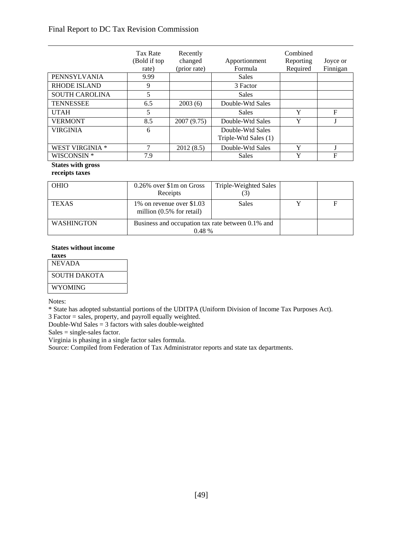|                        | Tax Rate      | Recently     |                      | Combined  |          |
|------------------------|---------------|--------------|----------------------|-----------|----------|
|                        | (Bold if top) | changed      | Apportionment        | Reporting | Joyce or |
|                        | rate)         | (prior rate) | Formula              | Required  | Finnigan |
| PENNSYLVANIA           | 9.99          |              | Sales                |           |          |
| <b>RHODE ISLAND</b>    | 9             |              | 3 Factor             |           |          |
| <b>SOUTH CAROLINA</b>  | 5             |              | Sales                |           |          |
| <b>TENNESSEE</b>       | 6.5           | 2003(6)      | Double-Wtd Sales     |           |          |
| <b>UTAH</b>            | 5             |              | <b>Sales</b>         | Y         | F        |
| <b>VERMONT</b>         | 8.5           | 2007 (9.75)  | Double-Wtd Sales     | Y         |          |
| <b>VIRGINIA</b>        | 6             |              | Double-Wtd Sales     |           |          |
|                        |               |              | Triple-Wtd Sales (1) |           |          |
| <b>WEST VIRGINIA *</b> | 7             | 2012(8.5)    | Double-Wtd Sales     | Y         |          |
| WISCONSIN *            | 7.9           |              | <b>Sales</b>         | Y         | F        |

#### **States with gross**

## **receipts taxes**

| <b>OHIO</b>       | $0.26\%$ over \$1m on Gross<br>Receipts                       | Triple-Weighted Sales<br>$\cup$ |  |  |
|-------------------|---------------------------------------------------------------|---------------------------------|--|--|
| <b>TEXAS</b>      | 1\% on revenue over \$1.03<br>million $(0.5\%$ for retail)    | Sales                           |  |  |
| <b>WASHINGTON</b> | Business and occupation tax rate between 0.1% and<br>$0.48\%$ |                                 |  |  |

#### **States without income**

| taxes         |
|---------------|
| <b>NEVADA</b> |
| SOUTH DAKOTA  |
| WYOMING       |

Notes:

\* State has adopted substantial portions of the UDITPA (Uniform Division of Income Tax Purposes Act).

3 Factor = sales, property, and payroll equally weighted.

Double-Wtd Sales  $= 3$  factors with sales double-weighted

 $Sales = single-sales factor.$ 

Virginia is phasing in a single factor sales formula.

Source: Compiled from Federation of Tax Administrator reports and state tax departments.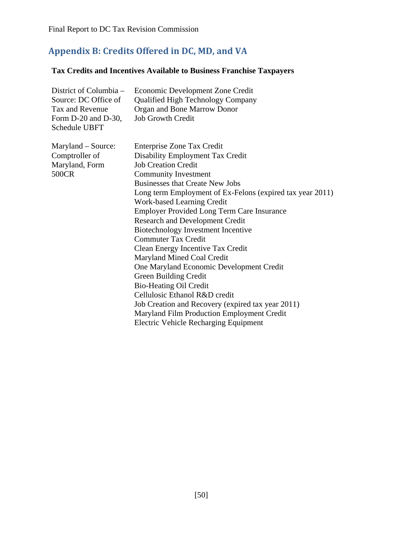# **Appendix B: Credits Offered in DC, MD, and VA**

## **Tax Credits and Incentives Available to Business Franchise Taxpayers**

| District of Columbia -<br>Source: DC Office of<br>Tax and Revenue<br>Form D-20 and D-30,<br>Schedule UBFT | Economic Development Zone Credit<br><b>Qualified High Technology Company</b><br>Organ and Bone Marrow Donor<br><b>Job Growth Credit</b>                                                                                                                                                                                                                                                                                                                                                                                                                                                                                                                                                                                                                                                                 |
|-----------------------------------------------------------------------------------------------------------|---------------------------------------------------------------------------------------------------------------------------------------------------------------------------------------------------------------------------------------------------------------------------------------------------------------------------------------------------------------------------------------------------------------------------------------------------------------------------------------------------------------------------------------------------------------------------------------------------------------------------------------------------------------------------------------------------------------------------------------------------------------------------------------------------------|
| Maryland – Source:<br>Comptroller of<br>Maryland, Form<br>500CR                                           | Enterprise Zone Tax Credit<br>Disability Employment Tax Credit<br><b>Job Creation Credit</b><br><b>Community Investment</b><br><b>Businesses that Create New Jobs</b><br>Long term Employment of Ex-Felons (expired tax year 2011)<br><b>Work-based Learning Credit</b><br><b>Employer Provided Long Term Care Insurance</b><br><b>Research and Development Credit</b><br>Biotechnology Investment Incentive<br><b>Commuter Tax Credit</b><br>Clean Energy Incentive Tax Credit<br>Maryland Mined Coal Credit<br>One Maryland Economic Development Credit<br>Green Building Credit<br><b>Bio-Heating Oil Credit</b><br>Cellulosic Ethanol R&D credit<br>Job Creation and Recovery (expired tax year 2011)<br>Maryland Film Production Employment Credit<br><b>Electric Vehicle Recharging Equipment</b> |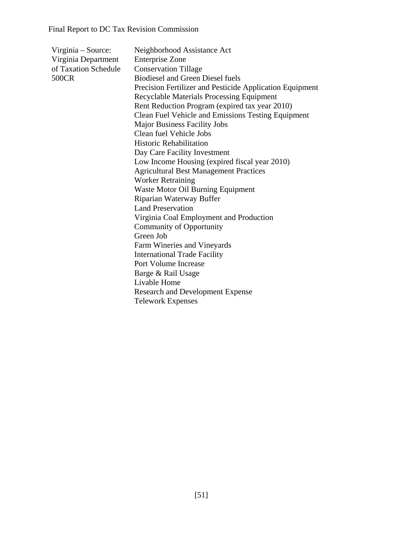| $Virginia - Source:$ | Neighborhood Assistance Act                               |
|----------------------|-----------------------------------------------------------|
| Virginia Department  | <b>Enterprise Zone</b>                                    |
| of Taxation Schedule | <b>Conservation Tillage</b>                               |
| 500CR                | <b>Biodiesel and Green Diesel fuels</b>                   |
|                      | Precision Fertilizer and Pesticide Application Equipment  |
|                      | <b>Recyclable Materials Processing Equipment</b>          |
|                      | Rent Reduction Program (expired tax year 2010)            |
|                      | <b>Clean Fuel Vehicle and Emissions Testing Equipment</b> |
|                      | <b>Major Business Facility Jobs</b>                       |
|                      | Clean fuel Vehicle Jobs                                   |
|                      | <b>Historic Rehabilitation</b>                            |
|                      | Day Care Facility Investment                              |
|                      | Low Income Housing (expired fiscal year 2010)             |
|                      | <b>Agricultural Best Management Practices</b>             |
|                      | <b>Worker Retraining</b>                                  |
|                      | Waste Motor Oil Burning Equipment                         |
|                      | Riparian Waterway Buffer                                  |
|                      | <b>Land Preservation</b>                                  |
|                      | Virginia Coal Employment and Production                   |
|                      | <b>Community of Opportunity</b>                           |
|                      | Green Job                                                 |
|                      | Farm Wineries and Vineyards                               |
|                      | <b>International Trade Facility</b>                       |
|                      | Port Volume Increase                                      |
|                      | Barge & Rail Usage                                        |
|                      | Livable Home                                              |
|                      | <b>Research and Development Expense</b>                   |
|                      | <b>Telework Expenses</b>                                  |
|                      |                                                           |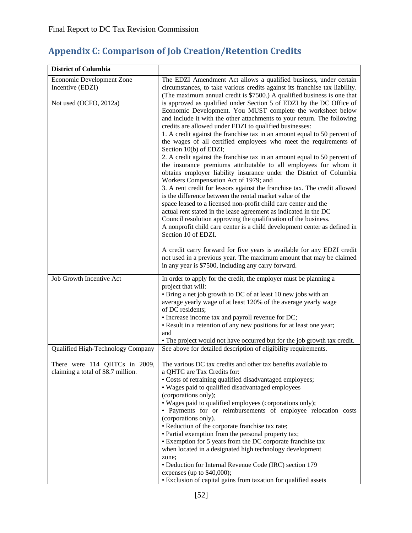# **Appendix C: Comparison of Job Creation/Retention Credits**

| <b>District of Columbia</b>                                         |                                                                                                                                                |
|---------------------------------------------------------------------|------------------------------------------------------------------------------------------------------------------------------------------------|
| Economic Development Zone                                           | The EDZI Amendment Act allows a qualified business, under certain                                                                              |
| Incentive (EDZI)                                                    | circumstances, to take various credits against its franchise tax liability.                                                                    |
|                                                                     | (The maximum annual credit is \$7500.) A qualified business is one that                                                                        |
| Not used (OCFO, 2012a)                                              | is approved as qualified under Section 5 of EDZI by the DC Office of                                                                           |
|                                                                     | Economic Development. You MUST complete the worksheet below                                                                                    |
|                                                                     | and include it with the other attachments to your return. The following                                                                        |
|                                                                     | credits are allowed under EDZI to qualified businesses:                                                                                        |
|                                                                     | 1. A credit against the franchise tax in an amount equal to 50 percent of<br>the wages of all certified employees who meet the requirements of |
|                                                                     | Section 10(b) of EDZI;                                                                                                                         |
|                                                                     | 2. A credit against the franchise tax in an amount equal to 50 percent of                                                                      |
|                                                                     | the insurance premiums attributable to all employees for whom it                                                                               |
|                                                                     | obtains employer liability insurance under the District of Columbia                                                                            |
|                                                                     | Workers Compensation Act of 1979; and                                                                                                          |
|                                                                     | 3. A rent credit for lessors against the franchise tax. The credit allowed                                                                     |
|                                                                     | is the difference between the rental market value of the                                                                                       |
|                                                                     | space leased to a licensed non-profit child care center and the                                                                                |
|                                                                     | actual rent stated in the lease agreement as indicated in the DC<br>Council resolution approving the qualification of the business.            |
|                                                                     | A nonprofit child care center is a child development center as defined in                                                                      |
|                                                                     | Section 10 of EDZI.                                                                                                                            |
|                                                                     |                                                                                                                                                |
|                                                                     | A credit carry forward for five years is available for any EDZI credit                                                                         |
|                                                                     | not used in a previous year. The maximum amount that may be claimed                                                                            |
|                                                                     | in any year is \$7500, including any carry forward.                                                                                            |
| Job Growth Incentive Act                                            | In order to apply for the credit, the employer must be planning a                                                                              |
|                                                                     | project that will:                                                                                                                             |
|                                                                     | • Bring a net job growth to DC of at least 10 new jobs with an                                                                                 |
|                                                                     | average yearly wage of at least 120% of the average yearly wage<br>of DC residents;                                                            |
|                                                                     | • Increase income tax and payroll revenue for DC;                                                                                              |
|                                                                     | • Result in a retention of any new positions for at least one year;                                                                            |
|                                                                     | and                                                                                                                                            |
|                                                                     | • The project would not have occurred but for the job growth tax credit.                                                                       |
| Qualified High-Technology Company                                   | See above for detailed description of eligibility requirements.                                                                                |
|                                                                     |                                                                                                                                                |
| There were 114 QHTCs in 2009.<br>claiming a total of \$8.7 million. | The various DC tax credits and other tax benefits available to<br>a QHTC are Tax Credits for:                                                  |
|                                                                     | • Costs of retraining qualified disadvantaged employees;                                                                                       |
|                                                                     | • Wages paid to qualified disadvantaged employees                                                                                              |
|                                                                     | (corporations only);                                                                                                                           |
|                                                                     | • Wages paid to qualified employees (corporations only);                                                                                       |
|                                                                     | • Payments for or reimbursements of employee relocation costs                                                                                  |
|                                                                     | (corporations only).                                                                                                                           |
|                                                                     | • Reduction of the corporate franchise tax rate;<br>· Partial exemption from the personal property tax;                                        |
|                                                                     | • Exemption for 5 years from the DC corporate franchise tax                                                                                    |
|                                                                     | when located in a designated high technology development                                                                                       |
|                                                                     | zone;                                                                                                                                          |
|                                                                     | • Deduction for Internal Revenue Code (IRC) section 179                                                                                        |
|                                                                     | expenses (up to \$40,000);                                                                                                                     |
|                                                                     | • Exclusion of capital gains from taxation for qualified assets                                                                                |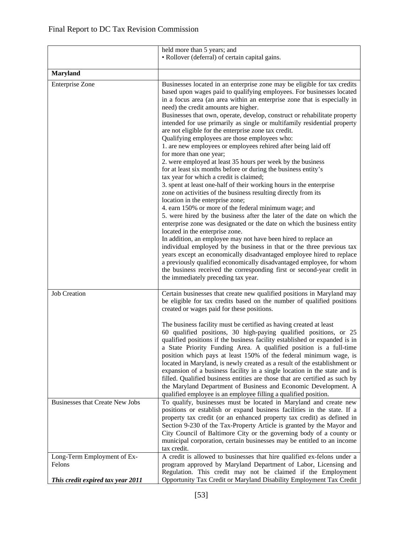|                                       | held more than 5 years; and                                                                                                                                                                                                                                                                                                                                                                                                                                                                                                                                                                                                                                                                                                                                                                                                                                                                                                                                                                                                                                                                                                                                                                                                                                                                                                                                                                                                                                                                                                                                                                                                                                |
|---------------------------------------|------------------------------------------------------------------------------------------------------------------------------------------------------------------------------------------------------------------------------------------------------------------------------------------------------------------------------------------------------------------------------------------------------------------------------------------------------------------------------------------------------------------------------------------------------------------------------------------------------------------------------------------------------------------------------------------------------------------------------------------------------------------------------------------------------------------------------------------------------------------------------------------------------------------------------------------------------------------------------------------------------------------------------------------------------------------------------------------------------------------------------------------------------------------------------------------------------------------------------------------------------------------------------------------------------------------------------------------------------------------------------------------------------------------------------------------------------------------------------------------------------------------------------------------------------------------------------------------------------------------------------------------------------------|
|                                       | • Rollover (deferral) of certain capital gains.                                                                                                                                                                                                                                                                                                                                                                                                                                                                                                                                                                                                                                                                                                                                                                                                                                                                                                                                                                                                                                                                                                                                                                                                                                                                                                                                                                                                                                                                                                                                                                                                            |
| <b>Maryland</b>                       |                                                                                                                                                                                                                                                                                                                                                                                                                                                                                                                                                                                                                                                                                                                                                                                                                                                                                                                                                                                                                                                                                                                                                                                                                                                                                                                                                                                                                                                                                                                                                                                                                                                            |
|                                       |                                                                                                                                                                                                                                                                                                                                                                                                                                                                                                                                                                                                                                                                                                                                                                                                                                                                                                                                                                                                                                                                                                                                                                                                                                                                                                                                                                                                                                                                                                                                                                                                                                                            |
| <b>Enterprise Zone</b>                | Businesses located in an enterprise zone may be eligible for tax credits<br>based upon wages paid to qualifying employees. For businesses located<br>in a focus area (an area within an enterprise zone that is especially in<br>need) the credit amounts are higher.<br>Businesses that own, operate, develop, construct or rehabilitate property<br>intended for use primarily as single or multifamily residential property<br>are not eligible for the enterprise zone tax credit.<br>Qualifying employees are those employees who:<br>1. are new employees or employees rehired after being laid off<br>for more than one year;<br>2. were employed at least 35 hours per week by the business<br>for at least six months before or during the business entity's<br>tax year for which a credit is claimed;<br>3. spent at least one-half of their working hours in the enterprise<br>zone on activities of the business resulting directly from its<br>location in the enterprise zone;<br>4. earn 150% or more of the federal minimum wage; and<br>5. were hired by the business after the later of the date on which the<br>enterprise zone was designated or the date on which the business entity<br>located in the enterprise zone.<br>In addition, an employee may not have been hired to replace an<br>individual employed by the business in that or the three previous tax<br>years except an economically disadvantaged employee hired to replace<br>a previously qualified economically disadvantaged employee, for whom<br>the business received the corresponding first or second-year credit in<br>the immediately preceding tax year. |
| <b>Job Creation</b>                   | Certain businesses that create new qualified positions in Maryland may<br>be eligible for tax credits based on the number of qualified positions<br>created or wages paid for these positions.<br>The business facility must be certified as having created at least<br>60 qualified positions, 30 high-paying qualified positions, or 25<br>qualified positions if the business facility established or expanded is in<br>a State Priority Funding Area. A qualified position is a full-time<br>position which pays at least 150% of the federal minimum wage, is<br>located in Maryland, is newly created as a result of the establishment or<br>expansion of a business facility in a single location in the state and is<br>filled. Qualified business entities are those that are certified as such by<br>the Maryland Department of Business and Economic Development. A<br>qualified employee is an employee filling a qualified position.                                                                                                                                                                                                                                                                                                                                                                                                                                                                                                                                                                                                                                                                                                          |
| Businesses that Create New Jobs       | To qualify, businesses must be located in Maryland and create new<br>positions or establish or expand business facilities in the state. If a<br>property tax credit (or an enhanced property tax credit) as defined in<br>Section 9-230 of the Tax-Property Article is granted by the Mayor and<br>City Council of Baltimore City or the governing body of a county or<br>municipal corporation, certain businesses may be entitled to an income<br>tax credit.                                                                                                                                                                                                                                                                                                                                                                                                                                                                                                                                                                                                                                                                                                                                                                                                                                                                                                                                                                                                                                                                                                                                                                                            |
| Long-Term Employment of Ex-<br>Felons | A credit is allowed to businesses that hire qualified ex-felons under a<br>program approved by Maryland Department of Labor, Licensing and<br>Regulation. This credit may not be claimed if the Employment                                                                                                                                                                                                                                                                                                                                                                                                                                                                                                                                                                                                                                                                                                                                                                                                                                                                                                                                                                                                                                                                                                                                                                                                                                                                                                                                                                                                                                                 |
| This credit expired tax year 2011     | Opportunity Tax Credit or Maryland Disability Employment Tax Credit                                                                                                                                                                                                                                                                                                                                                                                                                                                                                                                                                                                                                                                                                                                                                                                                                                                                                                                                                                                                                                                                                                                                                                                                                                                                                                                                                                                                                                                                                                                                                                                        |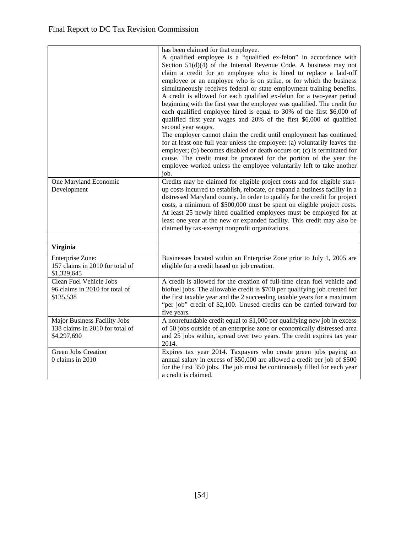|                                                                                       | has been claimed for that employee.<br>A qualified employee is a "qualified ex-felon" in accordance with<br>Section $51(d)(4)$ of the Internal Revenue Code. A business may not<br>claim a credit for an employee who is hired to replace a laid-off<br>employee or an employee who is on strike, or for which the business<br>simultaneously receives federal or state employment training benefits.<br>A credit is allowed for each qualified ex-felon for a two-year period<br>beginning with the first year the employee was qualified. The credit for |
|---------------------------------------------------------------------------------------|------------------------------------------------------------------------------------------------------------------------------------------------------------------------------------------------------------------------------------------------------------------------------------------------------------------------------------------------------------------------------------------------------------------------------------------------------------------------------------------------------------------------------------------------------------|
|                                                                                       | each qualified employee hired is equal to 30% of the first \$6,000 of<br>qualified first year wages and 20% of the first \$6,000 of qualified<br>second year wages.                                                                                                                                                                                                                                                                                                                                                                                        |
|                                                                                       | The employer cannot claim the credit until employment has continued<br>for at least one full year unless the employee: (a) voluntarily leaves the<br>employer; (b) becomes disabled or death occurs or; (c) is terminated for<br>cause. The credit must be prorated for the portion of the year the<br>employee worked unless the employee voluntarily left to take another<br>job.                                                                                                                                                                        |
| One Maryland Economic<br>Development                                                  | Credits may be claimed for eligible project costs and for eligible start-<br>up costs incurred to establish, relocate, or expand a business facility in a<br>distressed Maryland county. In order to qualify for the credit for project<br>costs, a minimum of \$500,000 must be spent on eligible project costs.<br>At least 25 newly hired qualified employees must be employed for at<br>least one year at the new or expanded facility. This credit may also be<br>claimed by tax-exempt nonprofit organizations.                                      |
| <b>Virginia</b>                                                                       |                                                                                                                                                                                                                                                                                                                                                                                                                                                                                                                                                            |
|                                                                                       |                                                                                                                                                                                                                                                                                                                                                                                                                                                                                                                                                            |
| Enterprise Zone:<br>157 claims in 2010 for total of<br>\$1,329,645                    | Businesses located within an Enterprise Zone prior to July 1, 2005 are<br>eligible for a credit based on job creation.                                                                                                                                                                                                                                                                                                                                                                                                                                     |
| Clean Fuel Vehicle Jobs<br>96 claims in 2010 for total of<br>\$135,538                | A credit is allowed for the creation of full-time clean fuel vehicle and<br>biofuel jobs. The allowable credit is \$700 per qualifying job created for<br>the first taxable year and the 2 succeeding taxable years for a maximum<br>"per job" credit of \$2,100. Unused credits can be carried forward for<br>five years.                                                                                                                                                                                                                                 |
| <b>Major Business Facility Jobs</b><br>138 claims in 2010 for total of<br>\$4,297,690 | A nonrefundable credit equal to \$1,000 per qualifying new job in excess<br>of 50 jobs outside of an enterprise zone or economically distressed area<br>and 25 jobs within, spread over two years. The credit expires tax year<br>2014.                                                                                                                                                                                                                                                                                                                    |
| Green Jobs Creation<br>0 claims in 2010                                               | Expires tax year 2014. Taxpayers who create green jobs paying an<br>annual salary in excess of \$50,000 are allowed a credit per job of \$500<br>for the first 350 jobs. The job must be continuously filled for each year<br>a credit is claimed.                                                                                                                                                                                                                                                                                                         |